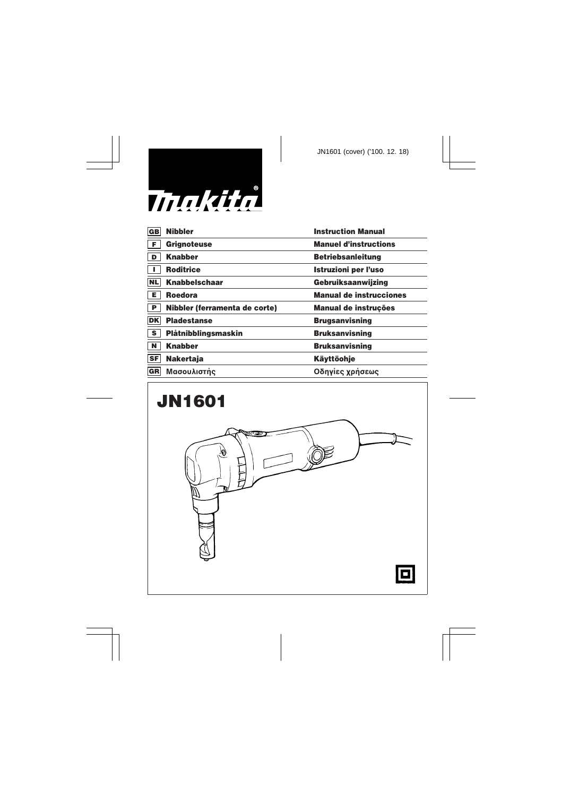

| GB<br><b>Nibbler</b>                           | <b>Instruction Manual</b>      |
|------------------------------------------------|--------------------------------|
| l F.<br><b>Grignoteuse</b>                     | <b>Manuel d'instructions</b>   |
| <b>Knabber</b><br>$\blacksquare$               | <b>Betriebsanleitung</b>       |
| <b>Roditrice</b>                               | <b>Istruzioni per l'uso</b>    |
| NL<br><b>Knabbelschaar</b>                     | Gebruiksaanwijzing             |
| İΕ.<br><b>Roedora</b>                          | <b>Manual de instrucciones</b> |
|                                                |                                |
| P <br>Nibbler (ferramenta de corte)            | Manual de instruções           |
| <b>DK</b><br><b>Pladestanse</b>                | <b>Brugsanvisning</b>          |
| $\overline{\mathbf{s}}$<br>Plåtnibblingsmaskin | <b>Bruksanvisning</b>          |
| N<br><b>Knabber</b>                            | <b>Bruksanvisning</b>          |
| <b>SF</b><br><b>Nakertaja</b>                  | <b>Käyttöohje</b>              |
| Μασουλιστής<br> GR                             | Οδηγίες χρήσεως                |

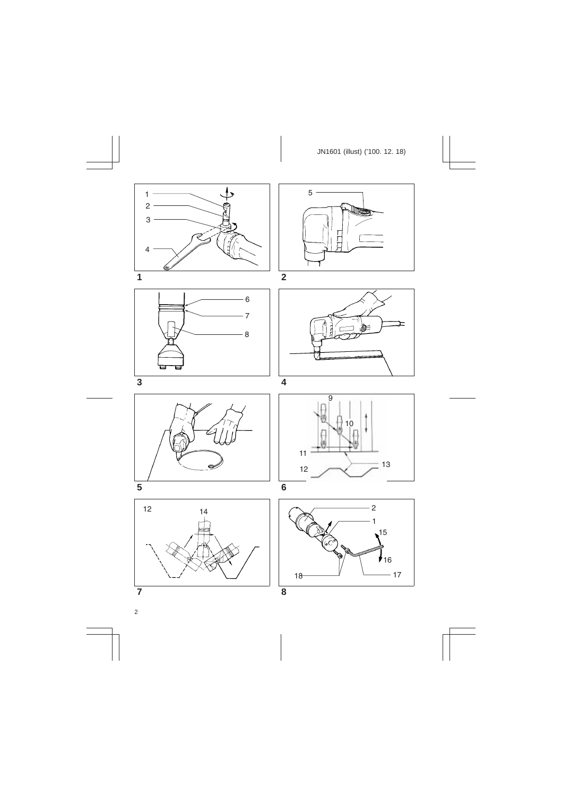













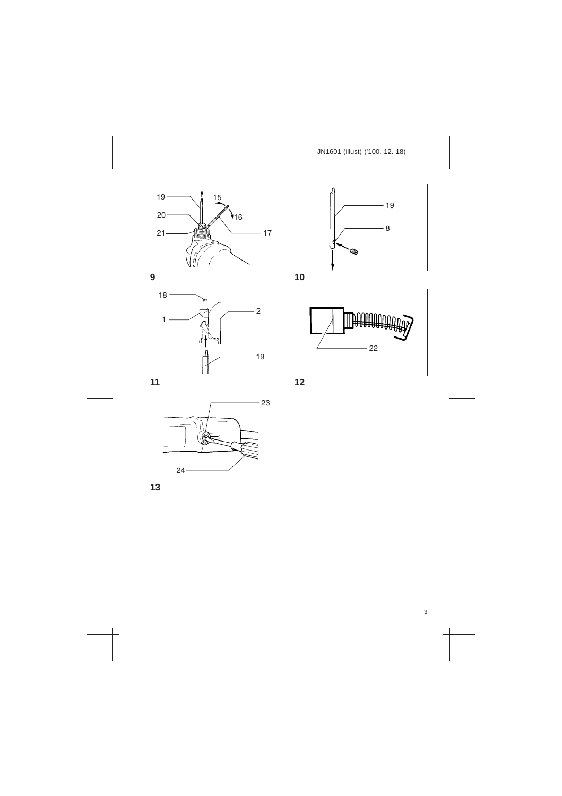













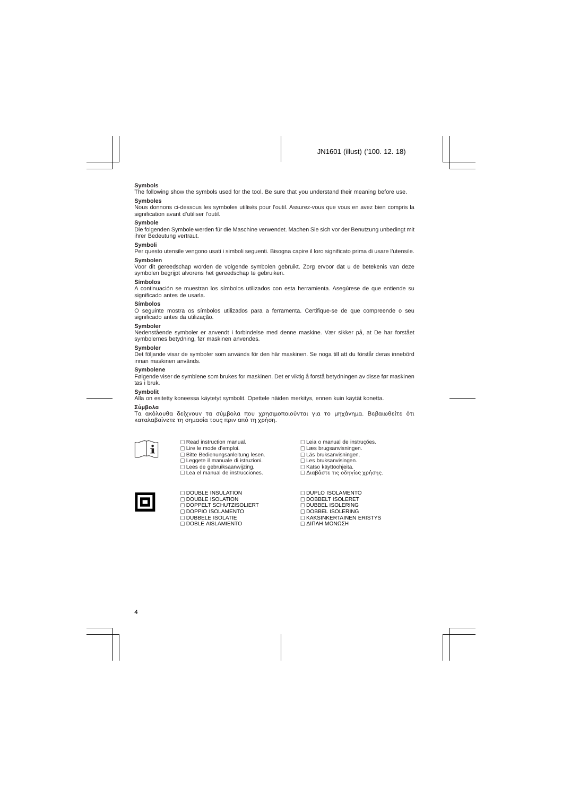### **Symbols**

The following show the symbols used for the tool. Be sure that you understand their meaning before use.

#### **Symboles**

Nous donnons ci-dessous les symboles utilisés pour l'outil. Assurez-vous que vous en avez bien compris la signification avant d'utiliser l'outil.

#### **Symbole**

Die folgenden Symbole werden für die Maschine verwendet. Machen Sie sich vor der Benutzung unbedingt mit ihrer Bedeutung vertraut.

#### **Symboli**

Per questo utensile vengono usati i simboli seguenti. Bisogna capire il loro significato prima di usare l'utensile.

#### **Symbolen**

Voor dit gereedschap worden de volgende symbolen gebruikt. Zorg ervoor dat u de betekenis van deze symbolen begrijpt alvorens het gereedschap te gebruiken.

#### **Símbolos**

A continuación se muestran los símbolos utilizados con esta herramienta. Asegúrese de que entiende su significado antes de usarla.

#### **Símbolos**

O seguinte mostra os símbolos utilizados para a ferramenta. Certifique-se de que compreende o seu significado antes da utilização.

#### **Symboler**

Nedenstående symboler er anvendt i forbindelse med denne maskine. Vær sikker på, at De har forstået symbolernes betydning, før maskinen anvendes.

#### **Symboler**

Det följande visar de symboler som används för den här maskinen. Se noga till att du förstår deras innebörd innan maskinen används.

#### **Symbolene**

Følgende viser de symblene som brukes for maskinen. Det er viktig å forstå betydningen av disse før maskinen tas i bruk.

#### **Symbolit**

Alla on esitetty koneessa käytetyt symbolit. Opettele näiden merkitys, ennen kuin käytät konetta.

#### $Σ$ *Ŭ***µβoλα**

Τα ακόλουθα δείχνουν τα σύμβολα που χρησιμοποιούνται για το μηχάνημα. Βεβαιωθείτε ότι καταλαβαίνετε τη σημασία τους πριν από τη χρήση.



 $\Box$  Read instruction manual.  $\Box$  Lire le mode d'emploi. **E** Bitte Bedienungsanleitung lesen.  $\Box$  Leggete il manuale di istruzioni.  $\square$  Lees de gebruiksaanwijzing.  $\Box$  Lea el manual de instrucciones.

 $\Box$  Leia o manual de instruções. [ Læs brugsanvisningen. [ Läs bruksanvisningen.  $\Box$  Les bruksanvisingen. □ Katso käyttöohjeita.  $\Box$  Διαβάστε τις οδηγίες χρήσης.



**EL DOUBLE INSULATION DOUBLE ISOLATION DOPPELT SCHUTZISOLIERT**  $\Box$  DOPPIO ISOLAMENTO **DUBBELE ISOLATIE**  $\Box$  DOBLE AISLAMIENTO

[ DUPLO ISOLAMENTO [ DOBBELT ISOLERET **IT DUBBEL ISOLERING DOBBEL ISOLERING EXAKSINKERTAINEN ERISTYS** Π ΔΙΠΛΗ ΜΟΝΩΣΗ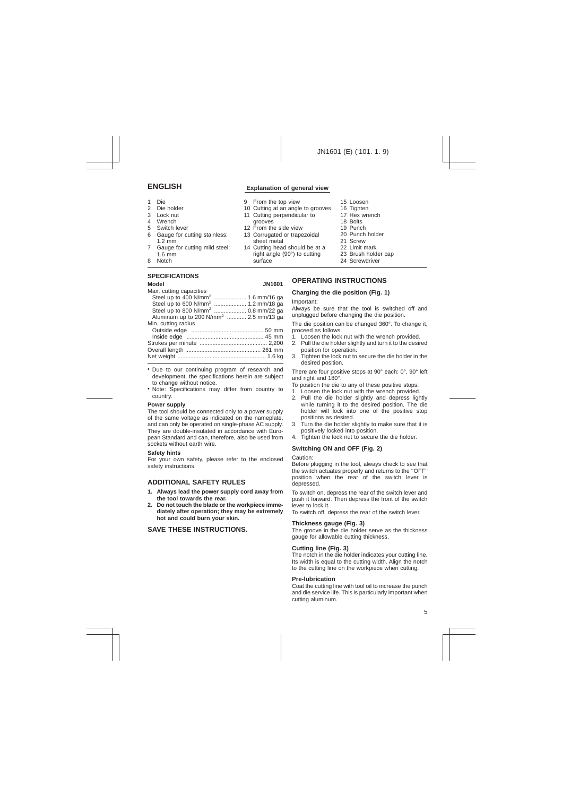# **ENGLISH Explanation of general view**

- 1 Die
- 2 Die holder<br>3 Lock nut
- Lock nut
- 4 Wrench
- 5 Switch lever
- 6 Gauge for cutting stainless: 1.2 mm
- 7 Gauge for cutting mild steel: 1.6 mm
- 8 Notch

### **SPECIFICATIONS**

- 15 Loosen
- 16 Tighten
- 17 Hex wrench
- 18 Bolts
- 19 Punch
- 20 Punch holder
- 21 Screw
- 22 Limit mark
- 23 Brush holder cap
- 24 Screwdriver

#### **Model JN1601** Max. cutting capacities Steel up to 400 N/mm<sup>2</sup> ..................... 1.6 mm/16 ga Steel up to 600 N/mm<sup>2</sup> .................... 1.2 mm/18 ga Steel up to 800 N/mm<sup>2</sup> .................... 0.8 mm/22 ga Aluminum up to 200 N/mm<sup>2</sup> ............ 2.5 mm/13 ga Min. cutting radius Outside edge ............................................. 50 mm Inside edge ................................................ 45 mm Strokes per minute .......................................... 2,200 Overall length ............................................... 261 mm Net weight ....................................................... 1.6 kg

- Due to our continuing program of research and development, the specifications herein are subject to change without notice.
- Note: Specifications may differ from country to country.

### **Power supply**

The tool should be connected only to a power supply of the same voltage as indicated on the nameplate, and can only be operated on single-phase AC supply. They are double-insulated in accordance with European Standard and can, therefore, also be used from sockets without earth wire.

#### **Safety hints**

For your own safety, please refer to the enclosed safety instructions.

# **ADDITIONAL SAFETY RULES**

- **1. Always lead the power supply cord away from the tool towards the rear.**
- **2. Do not touch the blade or the workpiece immediately after operation; they may be extremely hot and could burn your skin.**

# **SAVE THESE INSTRUCTIONS.**

# **OPERATING INSTRUCTIONS**

### **Charging the die position (Fig. 1)**

#### Important:

Always be sure that the tool is switched off and unplugged before changing the die position.

The die position can be changed 360°. To change it, proceed as follows.

- 1. Loosen the lock nut with the wrench provided.
- 2. Pull the die holder slightly and turn it to the desired position for operation.
- 3. Tighten the lock nut to secure the die holder in the desired position.

There are four positive stops at 90° each: 0°, 90° left and right and 180°.

- To position the die to any of these positive stops:
- 1. Loosen the lock nut with the wrench provided.
- 2. Pull the die holder slightly and depress lightly while turning it to the desired position. The die holder will lock into one of the positive stop positions as desired.
- 3. Turn the die holder slightly to make sure that it is positively locked into position.
- 4. Tighten the lock nut to secure the die holder.

# **Switching ON and OFF (Fig. 2)**

Caution:

Before plugging in the tool, always check to see that the switch actuates properly and returns to the ''OFF'' position when the rear of the switch lever is depressed.

To switch on, depress the rear of the switch lever and push it forward. Then depress the front of the switch lever to lock it.

To switch off, depress the rear of the switch lever.

### **Thickness gauge (Fig. 3)**

The groove in the die holder serve as the thickness gauge for allowable cutting thickness.

### **Cutting line (Fig. 3)**

The notch in the die holder indicates your cutting line. Its width is equal to the cutting width. Align the notch to the cutting line on the workpiece when cutting.

#### **Pre-lubrication**

Coat the cutting line with tool oil to increase the punch and die service life. This is particularly important when cutting aluminum.

- 10 Cutting at an angle to grooves grooves
- 12 From the side view

9 From the top view

13 Corrugated or trapezoidal sheet metal

11 Cutting perpendicular to

14 Cutting head should be at a right angle (90°) to cutting surface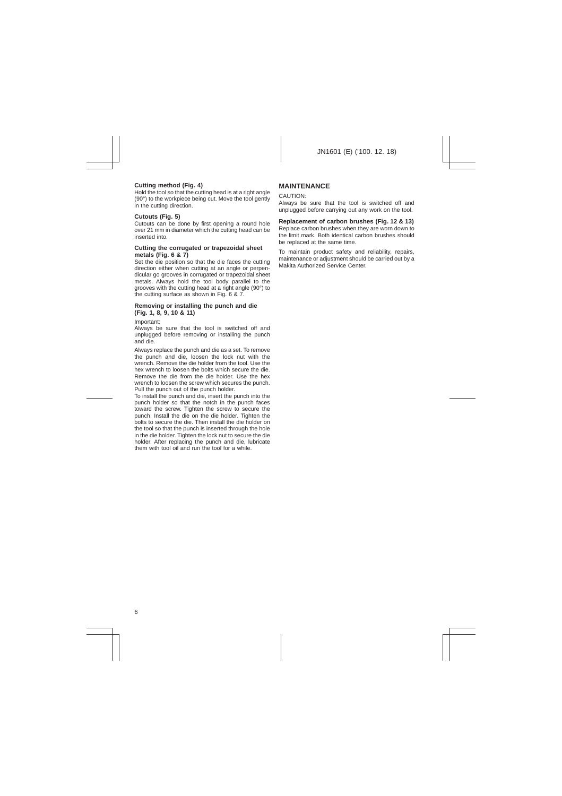# **Cutting method (Fig. 4)**

Hold the tool so that the cutting head is at a right angle (90°) to the workpiece being cut. Move the tool gently in the cutting direction.

### **Cutouts (Fig. 5)**

Cutouts can be done by first opening a round hole over 21 mm in diameter which the cutting head can be inserted into.

#### **Cutting the corrugated or trapezoidal sheet metals (Fig. 6 & 7)**

Set the die position so that the die faces the cutting direction either when cutting at an angle or perpendicular go grooves in corrugated or trapezoidal sheet metals. Always hold the tool body parallel to the grooves with the cutting head at a right angle (90°) to the cutting surface as shown in Fig. 6 & 7.

### **Removing or installing the punch and die (Fig. 1, 8, 9, 10 & 11)**

Important:

Always be sure that the tool is switched off and unplugged before removing or installing the punch and die.

Always replace the punch and die as a set. To remove the punch and die, loosen the lock nut with the wrench. Remove the die holder from the tool. Use the hex wrench to loosen the bolts which secure the die. Remove the die from the die holder. Use the hex wrench to loosen the screw which secures the punch. Pull the punch out of the punch holder.

To install the punch and die, insert the punch into the punch holder so that the notch in the punch faces toward the screw. Tighten the screw to secure the punch. Install the die on the die holder. Tighten the bolts to secure the die. Then install the die holder on the tool so that the punch is inserted through the hole in the die holder. Tighten the lock nut to secure the die holder. After replacing the punch and die, lubricate them with tool oil and run the tool for a while.

# **MAINTENANCE**

#### CAUTION:

Always be sure that the tool is switched off and unplugged before carrying out any work on the tool.

### **Replacement of carbon brushes (Fig. 12 & 13)**

Replace carbon brushes when they are worn down to the limit mark. Both identical carbon brushes should be replaced at the same time.

To maintain product safety and reliability, repairs, maintenance or adjustment should be carried out by a Makita Authorized Service Center.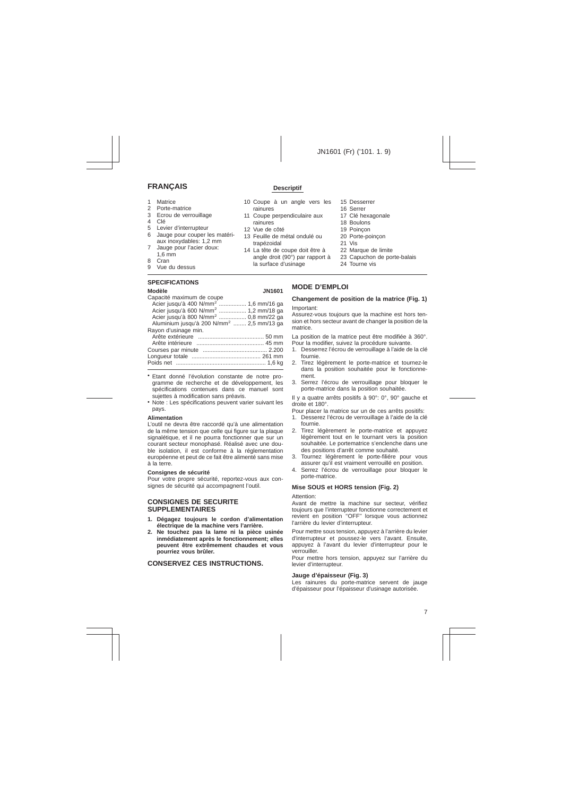# **FRANÇAIS Descriptif**

- 1 Matrice<br>2 Porte-m
- 2 Porte-matrice<br>3 Ecrou de verre
- 3 Ecrou de verrouillage<br>4 Clé
- 4 Clé
- 5 Levier d'interrupteur
- 6 Jauge pour couper les matériaux inoxydables: 1,2 mm
- 7 Jauge pour l'acier doux: 1,6 mm
- 8 Cran
- 9 Vue du dessus

# **SPECIFICATIONS**

| Modèle<br><b>JN1601</b>                              |  |
|------------------------------------------------------|--|
| Capacité maximum de coupe                            |  |
| Acier jusqu'à 400 N/mm <sup>2</sup> 1,6 mm/16 ga     |  |
| Acier jusqu'à 600 N/mm <sup>2</sup> 1,2 mm/18 ga     |  |
| Acier jusqu'à 800 N/mm <sup>2</sup> 0,8 mm/22 ga     |  |
| Aluminium jusqu'à 200 N/mm <sup>2</sup> 2,5 mm/13 ga |  |
| Rayon d'usinage min.                                 |  |
|                                                      |  |
|                                                      |  |
|                                                      |  |
|                                                      |  |
|                                                      |  |
|                                                      |  |

- Etant donné l'évolution constante de notre programme de recherche et de développement, les spécifications contenues dans ce manuel sont sujettes à modification sans préavis.
- Note : Les spécifications peuvent varier suivant les pays.

#### **Alimentation**

L'outil ne devra être raccordé qu'à une alimentation de la même tension que celle qui figure sur la plaque signalétique, et il ne pourra fonctionner que sur un courant secteur monophasé. Réalisé avec une double isolation, il est conforme à la réglementation européenne et peut de ce fait être alimenté sans mise à la terre.

#### **Consignes de sécurité**

Pour votre propre sécurité, reportez-vous aux consignes de sécurité qui accompagnent l'outil.

# **CONSIGNES DE SECURITE SUPPLEMENTAIRES**

- **1. Dégagez toujours le cordon d'alimentation électrique de la machine vers l'arrière.**
- **2. Ne touchez pas la lame ni la pièce usinée inmédiatement après le fonctionnement; elles peuvent être extrêmement chaudes et vous pourriez vous brûler.**

# **CONSERVEZ CES INSTRUCTIONS.**

#### 10 Coupe à un angle vers les rainures

- 11 Coupe perpendiculaire aux rainures
- 12 Vue de côté
- 13 Feuille de métal ondulé ou trapézoidal
- 14 La tête de coupe doit être à angle droit (90°) par rapport à la surface d'usinage
- 15 Desserrer
- 16 Serrer
- 17 Clé hexagonale
- 18 Boulons
- 19 Poinçon
- 20 Porte-poinçon
- 21 Vis
- 22 Marque de limite
- 23 Capuchon de porte-balais
- 24 Tourne vis

# **MODE D'EMPLOI**

#### **Changement de position de la matrice (Fig. 1)**

#### Important:

Assurez-vous toujours que la machine est hors tension et hors secteur avant de changer la position de la matrice.

La position de la matrice peut être modifiée à 360°. Pour la modifier, suivez la procédure suivante.

- 1. Desserrez l'écrou de verrouillage à l'aide de la clé fournie.
- 2. Tirez légèrement le porte-matrice et tournez-le dans la position souhaitée pour le fonctionnement.
- 3. Serrez l'écrou de verrouillage pour bloquer le porte-matrice dans la position souhaitée.

Il y a quatre arrêts positifs à 90°: 0°, 90° gauche et droite et 180°.

Pour placer la matrice sur un de ces arrêts positifs:

- 1. Desserez l'écrou de verrouillage à l'aide de la clé fournie.
- 2. Tirez légèrement le porte-matrice et appuyez légèrement tout en le tournant vers la position souhaitée. Le portematrice s'enclenche dans une des positions d'arrêt comme souhaité.
- 3. Tournez légèrement le porte-filiére pour vous assurer qu'il est vraiment verrouillé en position.
- 4. Serrez l'écrou de verrouillage pour bloquer le porte-matrice.

### **Mise SOUS et HORS tension (Fig. 2)**

Attention:

Avant de mettre la machine sur secteur, vérifiez toujours que l'interrupteur fonctionne correctement et revient en position ''OFF'' lorsque vous actionnez l'arrière du levier d'interrupteur.

Pour mettre sous tension, appuyez à l'arrière du levier d'interrupteur et poussez-le vers l'avant. Ensuite, appuyez à l'avant du levier d'interrupteur pour le verrouiller.

Pour mettre hors tension, appuyez sur l'arrière du levier d'interrupteur.

### **Jauge d'épaisseur (Fig. 3)**

Les rainures du porte-matrice servent de jauge d'épaisseur pour l'épaisseur d'usinage autorisée.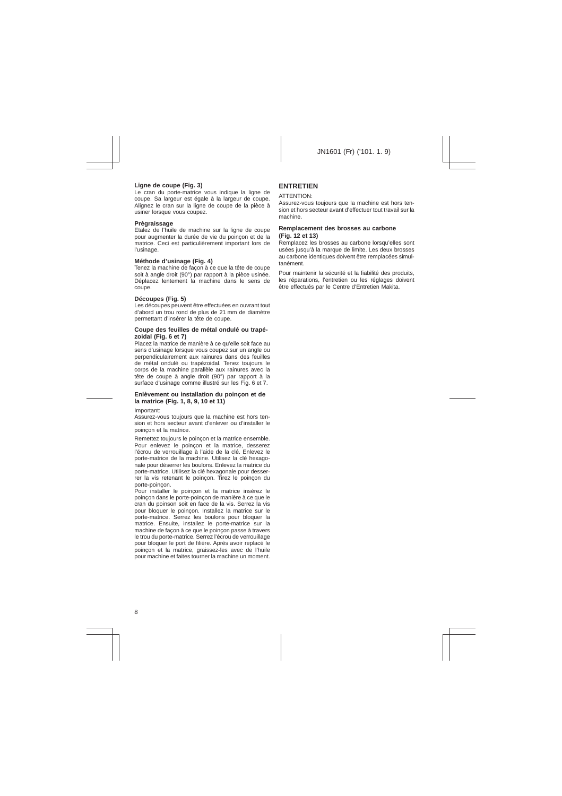# **Ligne de coupe (Fig. 3)**

Le cran du porte-matrice vous indique la ligne de coupe. Sa largeur est égale à la largeur de coupe. Alignez le cran sur la ligne de coupe de la pièce à usiner lorsque vous coupez.

# **Prègraissage**

Etalez de l'huile de machine sur la ligne de coupe pour augmenter la durée de vie du poinçon et de la matrice. Ceci est particulièrement important lors de l'usinage.

# **Méthode d'usinage (Fig. 4)**

Tenez la machine de façon à ce que la tête de coupe soit à angle droit (90°) par rapport à la pièce usinée. Déplacez lentement la machine dans le sens de coupe.

# **Découpes (Fig. 5)**

Les découpes peuvent être effectuées en ouvrant tout d'abord un trou rond de plus de 21 mm de diamètre permettant d'insérer la tête de coupe.

# **Coupe des feuilles de métal ondulé ou trapézoidal (Fig. 6 et 7)**

Placez la matrice de manière à ce qu'elle soit face au sens d'usinage lorsque vous coupez sur un angle ou perpendiculairement aux rainures dans des feuilles de métal ondulé ou trapézoidal. Tenez toujours le corps de la machine parallèle aux rainures avec la tête de coupe à angle droit (90°) par rapport à la surface d'usinage comme illustré sur les Fig. 6 et 7.

### **Enlèvement ou installation du poinçon et de la matrice (Fig. 1, 8, 9, 10 et 11)**

Important:

Assurez-vous toujours que la machine est hors tension et hors secteur avant d'enlever ou d'installer le poinçon et la matrice.

Remettez toujours le poinçon et la matrice ensemble. Pour enlevez le poinçon et la matrice, desserez l'écrou de verrouillage à l'aide de la clé. Enlevez le porte-matrice de la machine. Utilisez la clé hexagonale pour déserrer les boulons. Enlevez la matrice du porte-matrice. Utilisez la clé hexagonale pour desserrer la vis retenant le poinçon. Tirez le poinçon du porte-poinçon.

Pour installer le poinçon et la matrice insérez le poinçon dans le porte-poinçon de manière à ce que le cran du poinson soit en face de la vis. Serrez la vis pour bloquer le poinçon. Installez la matrice sur le porte-matrice. Serrez les boulons pour bloquer la matrice. Ensuite, installez le porte-matrice sur la machine de façon à ce que le poinçon passe à travers le trou du porte-matrice. Serrez l'écrou de verrouillage pour bloquer le port de filiére. Après avoir replacé le poinçon et la matrice, graissez-les avec de l'huile pour machine et faites tourner la machine un moment.

# **ENTRETIEN**

#### ATTENTION:

Assurez-vous toujours que la machine est hors tension et hors secteur avant d'effectuer tout travail sur la machine.

### **Remplacement des brosses au carbone (Fig. 12 et 13)**

Remplacez les brosses au carbone lorsqu'elles sont usées jusqu'à la marque de limite. Les deux brosses au carbone identiques doivent être remplacées simultanément.

Pour maintenir la sécurité et la fiabilité des produits, les réparations, l'entretien ou les réglages doivent être effectués par le Centre d'Entretien Makita.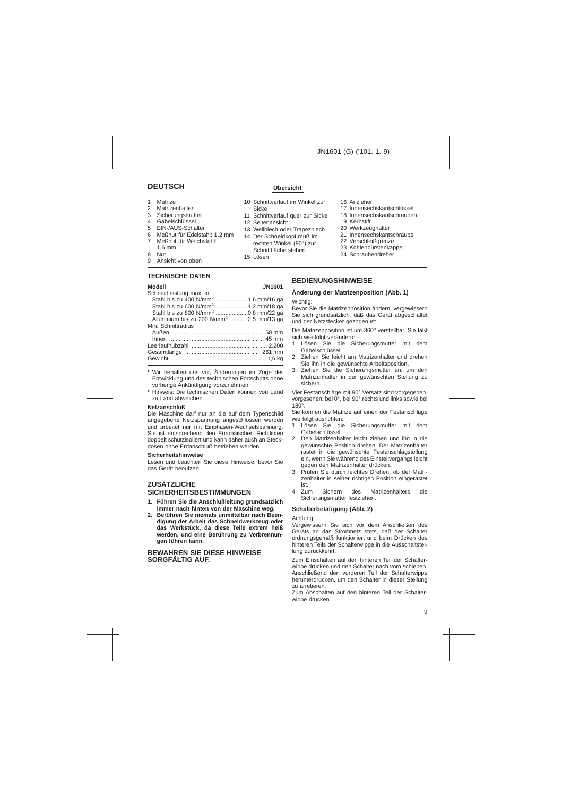# **DEUTSCH Übersicht**

- 1 Matrize<br>2 Matrize
- 2 Matrizenhalter
- **Sicherungsmutter**
- 4 Gabelschlüssel
- 5 EIN-/AUS-Schalter<br>6 Meßnut für Edelsta
- 6 Meßnut für Edelstahl: 1,2 mm
- Meßnut für Weichstahl:
- 1,6 mm
- $8$  Nut
- Ansicht von oben

# **TECHNISCHE DATEN**

## **Modell JN1601**

| Schneidleistung max. in                             |  |
|-----------------------------------------------------|--|
| Stahl bis zu 400 N/mm <sup>2</sup> 1,6 mm/16 ga     |  |
| Stahl bis zu 600 N/mm <sup>2</sup> 1,2 mm/18 ga     |  |
| Stahl bis zu 800 N/mm <sup>2</sup> 0.8 mm/22 ga     |  |
| Aluminium bis zu 200 N/mm <sup>2</sup> 2,5 mm/13 ga |  |
| Min. Schnittradius                                  |  |
|                                                     |  |
|                                                     |  |
|                                                     |  |
|                                                     |  |
|                                                     |  |
|                                                     |  |

- Wir behalten uns vor, Änderungen im Zuge der Entwicklung und des technischen Fortschritts ohne vorherige Ankündigung vorzunehmen.
- Hinweis: Die technischen Daten können von Land zu Land abweichen.

#### **Netzanschluß**

Die Maschine darf nur an die auf dem Typenschild angegebene Netzspannung angeschlossen werden und arbeitet nur mit Einphasen-Wechselspannung. Sie ist entsprechend den Europäischen Richtlinien doppelt schutzisoliert und kann daher auch an Steckdosen ohne Erdanschluß betrieben werden.

### **Sicherheitshinweise**

Lesen und beachten Sie diese Hinweise, bevor Sie das Gerät benutzen.

# **ZUSÄTZLICHE SICHERHEITSBESTIMMUNGEN**

- **1. Führen Sie die Anschlußleitung grundsätzlich immer nach hinten von der Maschine weg.**
- **2. Berühren Sie niemals unmittelbar nach Beendigung der Arbeit das Schneidwerkzeug oder das Werkstück, da diese Teile extrem heiß werden, und eine Berührung zu Verbrennungen führen kann.**

## **BEWAHREN SIE DIESE HINWEISE SORGFÄLTIG AUF.**

- 10 Schnittverlauf im Winkel zur Sicke
- 11 Schnittverlauf quer zur Sicke
- 12 Seitenansicht
- 13 Wellblech oder Trapezblech 14 Der Schneidkopf muß im
- rechten Winkel (90°) zur Schnittfläche stehen.
- 15 Lösen
- 16 Anziehen
- 17 Innensechskantschlüssel
- 18 Innensechskantschrauben
- 19 Kerbstift
- 20 Werkzeughalter
- 21 Innensechskantschraube
- 22 Verschleißgrenze
- 23 Kohlenbürstenkappe
- 24 Schraubendreher

# **BEDIENUNGSHINWEISE**

#### **Änderung der Matrizenposition (Abb. 1)**

Wichtig:

Bevor Sie die Matrizenposition ändern, vergewissern Sie sich grundsätzlich, daß das Gerät abgeschaltet und der Netzstecker gezogen ist.

Die Matrizenposition ist um 360° verstellbar. Sie läßt sich wie folgt verändern:

- 1. Lösen Sie die Sicherungsmutter mit dem Gabelschlüssel.
- 2. Ziehen Sie leicht am Matrizenhalter und drehen Sie ihn in die gewünschte Arbeitsposition.
- 3. Ziehen Sie die Sicherungsmutter an, um den Matrizenhalter in der gewünschten Stellung zu sichern.

Vier Festanschläge mit 90° Versatz sind vorgegeben. vorgesehen: bei 0°, bei 90° rechts und links sowie bei 180°.

Sie können die Matrize auf einen der Festanschläge wie folgt ausrichten:

- 1. Lösen Sie die Sicherungsmutter mit dem Gabelschlüssel.
- 2. Den Matrizenhalter leicht ziehen und ihn in die gewünschte Position drehen. Der Matrizenhalter rastet in die gewünschte Festanschlagstellung ein, wenn Sie während des Einstellvorgangs leicht gegen den Matrizenhalter drücken.
- 3. Prüfen Sie durch leichtes Drehen, ob der Matrizenhalter in seiner richtigen Position eingerastet ist.<br>4. Zum
- Sichern des Matrizenhalters die Sicherungsmutter festziehen.

### **Schalterbetätigung (Abb. 2)**

#### Achtung:

Vergewissern Sie sich vor dem Anschließen des Geräts an das Stromnetz stets, daß der Schalter ordnungsgemäß funktioniert und beim Drücken des hinteren Teils der Schalterwippe in die Ausschaltstellung zurückkehrt.

Zum Einschalten auf den hinteren Teil der Schalterwippe drücken und den Schalter nach vorn schieben. Anschließend den vorderen Teil der Schalterwippe herunterdrücken, um den Schalter in dieser Stellung zu arretieren.

Zum Abschalten auf den hinteren Teil der Schalterwippe drücken.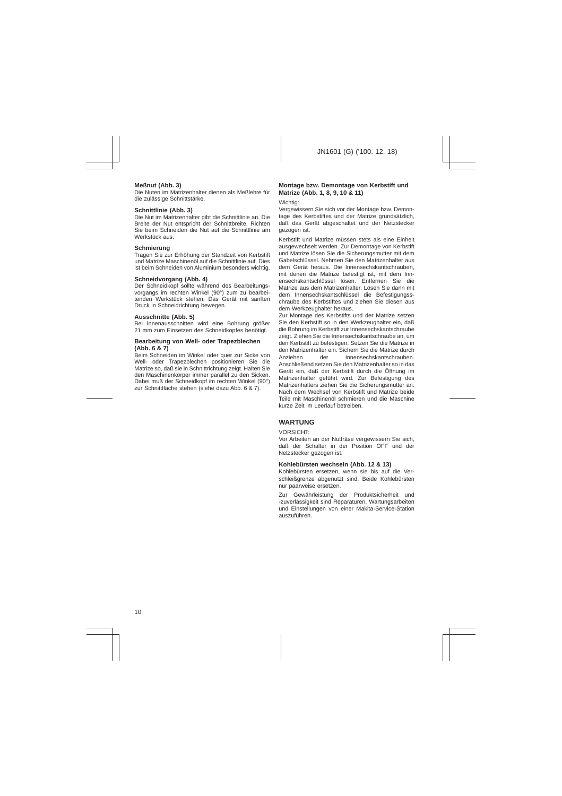### **Meßnut (Abb. 3)**

Die Nuten im Matrizenhalter dienen als Meßlehre für die zulässige Schnittstärke.

# **Schnittlinie (Abb. 3)**

Die Nut im Matrizenhalter gibt die Schnittlinie an. Die Breite der Nut entspricht der Schnittbreite. Richten Sie beim Schneiden die Nut auf die Schnittlinie am Werkstück aus.

## **Schmierung**

Tragen Sie zur Erhöhung der Standzeit von Kerbstift und Matrize Maschinenöl auf die Schnittlinie auf. Dies ist beim Schneiden von Aluminium besonders wichtig.

### **Schneidvorgang (Abb. 4)**

Der Schneidkopf sollte während des Bearbeitungsvorgangs im rechten Winkel (90°) zum zu bearbeitenden Werkstück stehen. Das Gerät mit sanften Druck in Schneidrichtung bewegen.

## **Ausschnitte (Abb. 5)**

Bei Innenausschnitten wird eine Bohrung größer 21 mm zum Einsetzen des Schneidkopfes benötigt.

#### **Bearbeitung von Well- oder Trapezblechen (Abb. 6 & 7)**

Beim Schneiden im Winkel oder quer zur Sicke von Well- oder Trapezblechen positionieren Sie die Matrize so, daß sie in Schnittrichtung zeigt. Halten Sie den Maschinenkörper immer parallel zu den Sicken. Dabei muß der Schneidkopf im rechten Winkel (90°) zur Schnittfläche stehen (siehe dazu Abb. 6 & 7).

## **Montage bzw. Demontage von Kerbstift und Matrize (Abb. 1, 8, 9, 10 & 11)**

#### Wichtig<sup>-</sup>

Vergewissern Sie sich vor der Montage bzw. Demontage des Kerbstiftes und der Matrize grundsätzlich, daß das Gerät abgeschaltet und der Netzstecker gezogen ist.

Kerbstift und Matrize müssen stets als eine Einheit ausgewechselt werden. Zur Demontage von Kerbstift und Matrize lösen Sie die Sicherungsmutter mit dem Gabelschlüssel. Nehmen Sie den Matrizenhalter aus dem Gerät heraus. Die Innensechskantschrauben, mit denen die Matrize befestigt ist, mit dem Innensechskantschlüssel lösen. Entfernen Sie die Matrize aus dem Matrizenhalter. Lösen Sie dann mit dem Innensechskantschlüssel die Befestigungsschraube des Kerbstiftes und ziehen Sie diesen aus dem Werkzeughalter heraus.

Zur Montage des Kerbstifts und der Matrize setzen Sie den Kerbstift so in den Werkzeughalter ein, daß die Bohrung im Kerbstift zur Innensechskantschraube zeigt. Ziehen Sie die Innensechskantschraube an, um den Kerbstift zu befestigen. Setzen Sie die Matrize in den Matrizenhalter ein. Sichern Sie die Matrize durch<br>Anziehen der Unnensechskantschrauben Innensechskantschrauben Anschließend setzen Sie den Matrizenhalter so in das Gerät ein, daß der Kerbstift durch die Öffnung im Matrizenhalter geführt wird. Zur Befestigung des Matrizenhalters ziehen Sie die Sicherungsmutter an. Nach dem Wechsel von Kerbstift und Matrize beide Teile mit Maschinenöl schmieren und die Maschine kurze Zeit im Leerlauf betreiben.

# **WARTUNG**

### VORSICHT:

Vor Arbeiten an der Nutfräse vergewissern Sie sich, daß der Schalter in der Position OFF und der Netzstecker gezogen ist.

### **Kohlebürsten wechseln (Abb. 12 & 13)**

Kohlebürsten ersetzen, wenn sie bis auf die Verschleißgrenze abgenutzt sind. Beide Kohlebürsten nur paarweise ersetzen.

Zur Gewährleistung der Produktsicherheit und -zuverlässigkeit sind Reparaturen, Wartungsarbeiten und Einstellungen von einer Makita-Service-Station auszuführen.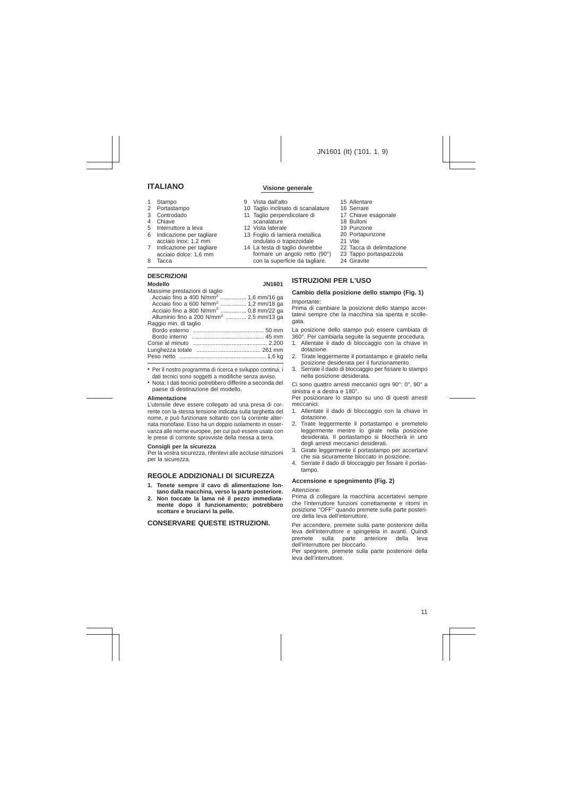# **ITALIANO Visione generale**

- 1 Stampo<br>2 Portasta
- Portastampo
- 3 Controdado
- 4 Chiave
- 5 Interruttore a leva
- 6 Indicazione per tagliare acciaio inox: 1,2 mm
- 7 Indicazione per tagliare acciaio dolce: 1,6 mm
- 8 Tacca

# **DESCRIZIONI**

- 9 Vista dall'alto
- 10 Taglio inclinato di scanalature
- 11 Taglio perpendicolare di scanalature
- 12 Vista laterale
- 
- 13 Foglio di lamiera metallica ondulato o trapezoidale
- 14 La testa di taglio dovrebbe formare un angolo retto (90°) con la superficie da tagliare.
- 15 Allentare
- 16 Serrare
- 17 Chiave esagonale
- 18 Bulloni
- 19 Punzone
- 20 Portapunzone
- 21 Vite
- 22 Tacca di delimitazione
- 23 Tappo portaspazzola
- 24 Giravite

#### **Modello JN1601** Massime prestazioni di taglio **ISTRUZIONI PER L'USO Cambio della posizione dello stampo (Fig. 1)** Importante:

Prima di cambiare la posizione dello stampo accertatevi sempre che la macchina sia spenta e scollegata.

La posizione dello stampo può essere cambiata di 360°. Per cambiarla seguite la seguente procedura.

- 1. Allentate il dado di bloccaggio con la chiave in dotazione.
- 2. Tirate leggermente il portastampo e giratelo nella posizione desiderata per il funzionamento.
- 3. Serrate il dado di bloccaggio per fissare lo stampo nella posizione desiderata.

Ci sono quattro arresti meccanici ogni 90°: 0°, 90° a sinistra e a destra e 180°.

Per posizionare lo stampo su uno di questi arresti meccanici:

- 1. Allentate il dado di bloccaggio con la chiave in dotazione.
- 2. Tirate leggermente il portastampo e premetelo leggermente mentre lo girate nella posizione desiderata. Il portastampo si bloccherà in uno degli arresti meccanici desiderati.
- 3. Girate leggermente il portastampo per accertarvi che sia sicuramente bloccato in posizione.
- 4. Serrate il dado di bloccaggio per fissare il portastampo.

### **Accensione e spegnimento (Fig. 2)**

Attenzione:

Prima di collegare la macchina accertatevi sempre che l'interruttore funzioni correttamente e ritorni in posizione ''OFF'' quando premete sulla parte posteriore della leva dell'interruttore.

Per accendere, premete sulla parte posteriore della leva dell'interruttore e spingetela in avanti. Quindi premete sulla parte anteriore della leva dell'interruttore per bloccarlo.

Per spegnere, premete sulla parte posteriore della leva dell'interruttore.

| Acciaio fino a 400 N/mm <sup>2</sup> 1,6 mm/16 ga   |  |
|-----------------------------------------------------|--|
| Acciaio fino a 600 N/mm <sup>2</sup> 1,2 mm/18 ga   |  |
| Acciaio fino a 800 N/mm <sup>2</sup> 0,8 mm/22 ga   |  |
| Alluminio fino a 200 N/mm <sup>2</sup> 2,5 mm/13 ga |  |
| Raggio min. di taglio                               |  |
|                                                     |  |
|                                                     |  |
|                                                     |  |
|                                                     |  |
|                                                     |  |
|                                                     |  |
|                                                     |  |

- Per il nostro programma di ricerca e sviluppo continui, i dati tecnici sono soggetti a modifiche senza avviso.
- Nota: I dati tecnici potrebbero differire a seconda del paese di destinazione del modello.

#### **Alimentazione**

L'utensile deve essere collegato ad una presa di corrente con la stessa tensione indicata sulla targhetta del nome, e può funzionare soltanto con la corrente alternata monofase. Esso ha un doppio isolamento in osservanza alle norme europee, per cui può essere usato con le prese di corrente sprovviste della messa a terra.

#### **Consigli per la sicurezza**

Per la vostra sicurezza, riferitevi alle accluse istruzioni per la sicurezza.

# **REGOLE ADDIZIONALI DI SICUREZZA**

- **1. Tenete sempre il cavo di alimentazione lontano dalla macchina, verso la parte posteriore.**
- **2. Non toccate la lama nè il pezzo immediatamente dopo il funzionamento; potrebbero scottare e bruciarvi la pelle.**

# **CONSERVARE QUESTE ISTRUZIONI.**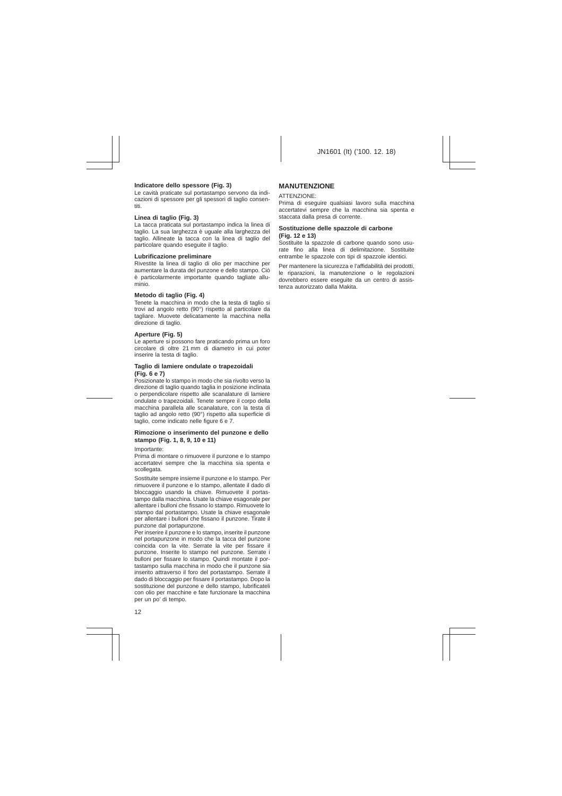# **Indicatore dello spessore (Fig. 3)**

Le cavità praticate sul portastampo servono da indicazioni di spessore per gli spessori di taglio consentiti.

#### **Linea di taglio (Fig. 3)**

La tacca praticata sul portastampo indica la linea di taglio. La sua larghezza è uguale alla larghezza del taglio. Allineate la tacca con la linea di taglio del particolare quando eseguite il taglio.

#### **Lubrificazione preliminare**

Rivestite la linea di taglio di olio per macchine per aumentare la durata del punzone e dello stampo. Ciò è particolarmente importante quando tagliate alluminio.

### **Metodo di taglio (Fig. 4)**

Tenete la macchina in modo che la testa di taglio si trovi ad angolo retto (90°) rispetto al particolare da tagliare. Muovete delicatamente la macchina nella direzione di taglio.

### **Aperture (Fig. 5)**

Le aperture si possono fare praticando prima un foro circolare di oltre 21 mm di diametro in cui poter inserire la testa di taglio.

#### **Taglio di lamiere ondulate o trapezoidali (Fig. 6 e 7)**

Posizionate lo stampo in modo che sia rivolto verso la direzione di taglio quando taglia in posizione inclinata o perpendicolare rispetto alle scanalature di lamiere ondulate o trapezoidali. Tenete sempre il corpo della macchina parallela alle scanalature, con la testa di taglio ad angolo retto (90°) rispetto alla superficie di taglio, come indicato nelle figure 6 e 7.

#### **Rimozione o inserimento del punzone e dello stampo (Fig. 1, 8, 9, 10 e 11)**

Importante:

Prima di montare o rimuovere il punzone e lo stampo accertatevi sempre che la macchina sia spenta e scollegata.

Sostituite sempre insieme il punzone e lo stampo. Per rimuovere il punzone e lo stampo, allentate il dado di bloccaggio usando la chiave. Rimuovete il portastampo dalla macchina. Usate la chiave esagonale per allentare i bulloni che fissano lo stampo. Rimuovete lo stampo dal portastampo. Usate la chiave esagonale per allentare i bulloni che fissano il punzone. Tirate il punzone dal portapunzone.

Per inserire il punzone e lo stampo, inserite il punzone nel portapunzone in modo che la tacca del punzone coincida con la vite. Serrate la vite per fissare il punzone. Inserite lo stampo nel punzone. Serrate i bulloni per fissare lo stampo. Quindi montate il portastampo sulla macchina in modo che il punzone sia inserito attraverso il foro del portastampo. Serrate il dado di bloccaggio per fissare il portastampo. Dopo la sostituzione del punzone e dello stampo, lubrificateli con olio per macchine e fate funzionare la macchina per un po' di tempo.

# **MANUTENZIONE**

#### ATTENZIONE:

Prima di eseguire qualsiasi lavoro sulla macchina accertatevi sempre che la macchina sia spenta e staccata dalla presa di corrente.

#### **Sostituzione delle spazzole di carbone (Fig. 12 e 13)**

Sostituite la spazzole di carbone quando sono usurate fino alla linea di delimitazione. Sostituite entrambe le spazzole con tipi di spazzole identici.

Per mantenere la sicurezza e l'affidabilità dei prodotti, le riparazioni, la manutenzione o le regolazioni dovrebbero essere eseguite da un centro di assistenza autorizzato dalla Makita.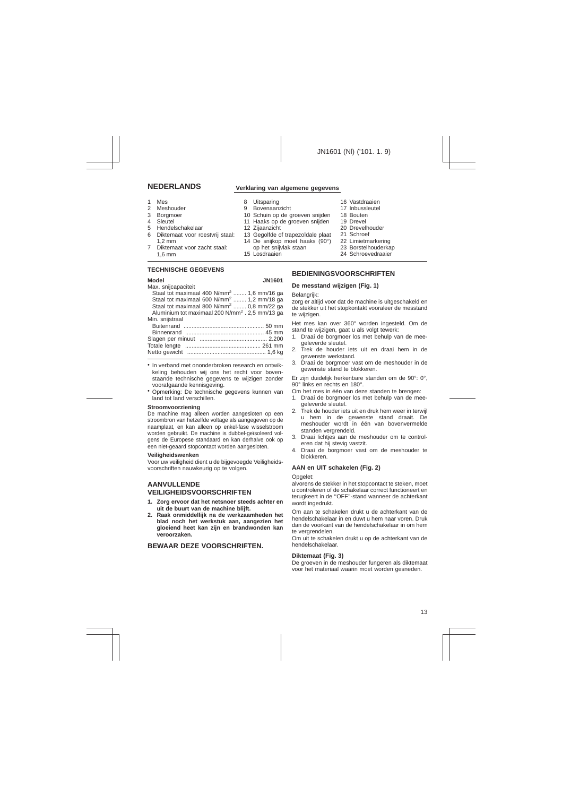- 1 Mes<br>2 Mes
- 
- 2 Meshouder<br>3 Borgmoer **Borgmoer**
- 4 Sleutel
- 5 Hendelschakelaar
- 6 Diktemaat voor roestvrij staal: 1,2 mm
- 7 Diktemaat voor zacht staal: 1,6 mm

## **TECHNISCHE GEGEVENS**

#### **Model JN1601**

| Max. snijcapaciteit                                         |
|-------------------------------------------------------------|
| Staal tot maximaal 400 N/mm <sup>2</sup> 1,6 mm/16 ga       |
| Staal tot maximaal 600 N/mm <sup>2</sup> 1,2 mm/18 ga       |
| Staal tot maximaal 800 N/mm <sup>2</sup> 0,8 mm/22 ga       |
| Aluminium tot maximaal 200 N/mm <sup>2</sup> . 2.5 mm/13 ga |
| Min. snijstraal                                             |
|                                                             |
|                                                             |
|                                                             |
|                                                             |
|                                                             |
|                                                             |

- In verband met ononderbroken research en ontwikkeling behouden wij ons het recht voor bovenstaande technische gegevens te wijzigen zonder voorafgaande kennisgeving.
- Opmerking: De technische gegevens kunnen van land tot land verschillen.

#### **Stroomvoorziening**

De machine mag alleen worden aangesloten op een stroombron van hetzelfde voltage als aangegeven op de naamplaat, en kan alleen op enkel-fase wisselstroom worden gebruikt. De machine is dubbel-geïsoleerd volgens de Europese standaard en kan derhalve ook op een niet-geaard stopcontact worden aangesloten.

#### **Veiligheidswenken**

Voor uw veiligheid dient u de bijgevoegde Veiligheidsvoorschriften nauwkeurig op te volgen.

# **AANVULLENDE VEILIGHEIDSVOORSCHRIFTEN**

- **1. Zorg ervoor dat het netsnoer steeds achter en uit de buurt van de machine blijft.**
- **2. Raak onmiddellijk na de werkzaamheden het blad noch het werkstuk aan, aangezien het gloeiend heet kan zijn en brandwonden kan veroorzaken.**

# **BEWAAR DEZE VOORSCHRIFTEN.**

# **NEDERLANDS Verklaring van algemene gegevens**

- 8 Uitsparing<br>9 Boyenaan
- **Bovenaanzicht**
- 10 Schuin op de groeven snijden
- 11 Haaks op de groeven snijden
- 12 Zijaanzicht
- 13 Gegolfde of trapezoïdale plaat
- 14 De snijkop moet haaks (90°) op het snijvlak staan
- 15 Losdraaien
- 16 Vastdraaien
- 17 Inbussleutel
- 18 Bouten
- 19 Drevel
- 20 Drevelhouder
- 21 Schroef
- 22 Limietmarkering
- 23 Borstelhouderkap
- 24 Schroevedraaier

# **BEDIENINGSVOORSCHRIFTEN**

### **De messtand wijzigen (Fig. 1)**

#### Belangrijk<sup>-</sup>

zorg er altijd voor dat de machine is uitgeschakeld en de stekker uit het stopkontakt vooraleer de messtand te wijzigen.

Het mes kan over 360° worden ingesteld. Om de stand te wijzigen, gaat u als volgt tewerk:

- 1. Draai de borgmoer los met behulp van de meegeleverde sleutel.
- 2. Trek de houder iets uit en draai hem in de gewenste werkstand.
- 3. Draai de borgmoer vast om de meshouder in de gewenste stand te blokkeren.

Er zijn duidelijk herkenbare standen om de 90°: 0°, 90° links en rechts en 180°.

Om het mes in één van deze standen te brengen:

- 1. Draai de borgmoer los met behulp van de meegeleverde sleutel.
- 2. Trek de houder iets uit en druk hem weer in terwijl u hem in de gewenste stand draait. De meshouder wordt in één van bovenvermelde standen vergrendeld.
- 3. Draai lichtjes aan de meshouder om te controleren dat hij stevig vastzit.
- 4. Draai de borgmoer vast om de meshouder te blokkeren.

## **AAN en UIT schakelen (Fig. 2)**

#### Opgelet:

alvorens de stekker in het stopcontact te steken, moet u controleren of de schakelaar correct functioneert en terugkeert in de ''OFF''-stand wanneer de achterkant wordt ingedrukt.

Om aan te schakelen drukt u de achterkant van de hendelschakelaar in en duwt u hem naar voren. Druk dan de voorkant van de hendelschakelaar in om hem te vergrendelen.

Om uit te schakelen drukt u op de achterkant van de hendelschakelaar.

### **Diktemaat (Fig. 3)**

De groeven in de meshouder fungeren als diktemaat voor het materiaal waarin moet worden gesneden.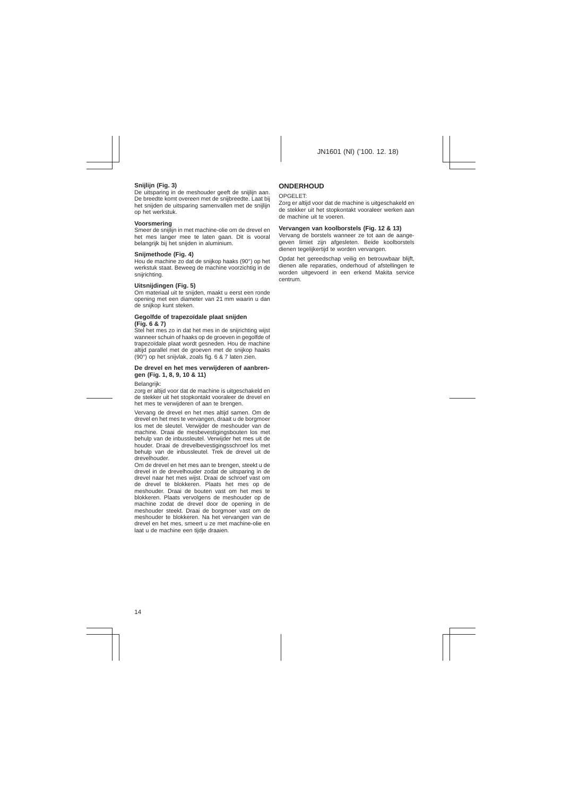# **Snijlijn (Fig. 3)**

De uitsparing in de meshouder geeft de snijlijn aan. De breedte komt overeen met de snijbreedte. Laat bij het snijden de uitsparing samenvallen met de snijlijn op het werkstuk.

### **Voorsmering**

Smeer de snijlijn in met machine-olie om de drevel en het mes langer mee te laten gaan. Dit is vooral belangrijk bij het snijden in aluminium.

### **Snijmethode (Fig. 4)**

Hou de machine zo dat de snijkop haaks (90°) op het werkstuk staat. Beweeg de machine voorzichtig in de snijrichting.

# **Uitsnijdingen (Fig. 5)**

Om materiaal uit te snijden, maakt u eerst een ronde opening met een diameter van 21 mm waarin u dan de snijkop kunt steken.

### **Gegolfde of trapezoïdale plaat snijden (Fig. 6 & 7)**

Stel het mes zo in dat het mes in de snijrichting wijst wanneer schuin of haaks op de groeven in gegolfde of trapezoïdale plaat wordt gesneden. Hou de machine altijd parallel met de groeven met de snijkop haaks (90°) op het snijvlak, zoals fig.6&7 laten zien.

#### **De drevel en het mes verwijderen of aanbrengen (Fig. 1, 8, 9, 10 & 11)**

Belangrijk:

zorg er altijd voor dat de machine is uitgeschakeld en de stekker uit het stopkontakt vooraleer de drevel en het mes te verwijderen of aan te brengen.

Vervang de drevel en het mes altijd samen. Om de drevel en het mes te vervangen, draait u de borgmoer los met de sleutel. Verwijder de meshouder van de machine. Draai de mesbevestigingsbouten los met behulp van de inbussleutel. Verwijder het mes uit de houder. Draai de drevelbevestigingsschroef los met behulp van de inbussleutel. Trek de drevel uit de drevelhouder.

Om de drevel en het mes aan te brengen, steekt u de drevel in de drevelhouder zodat de uitsparing in de drevel naar het mes wijst. Draai de schroef vast om de drevel te blokkeren. Plaats het mes op de meshouder. Draai de bouten vast om het mes te blokkeren. Plaats vervolgens de meshouder op de machine zodat de drevel door de opening in de meshouder steekt. Draai de borgmoer vast om de meshouder te blokkeren. Na het vervangen van de drevel en het mes, smeert u ze met machine-olie en laat u de machine een tijdje draaien.

# **ONDERHOUD**

#### OPGELET:

Zorg er altijd voor dat de machine is uitgeschakeld en de stekker uit het stopkontakt vooraleer werken aan de machine uit te voeren.

# **Vervangen van koolborstels (Fig. 12 & 13)**

Vervang de borstels wanneer ze tot aan de aangegeven limiet zijn afgesleten. Beide koolborstels dienen tegelijkertijd te worden vervangen.

Opdat het gereedschap veilig en betrouwbaar blijft, dienen alle reparaties, onderhoud of afstellingen te worden uitgevoerd in een erkend Makita service centrum.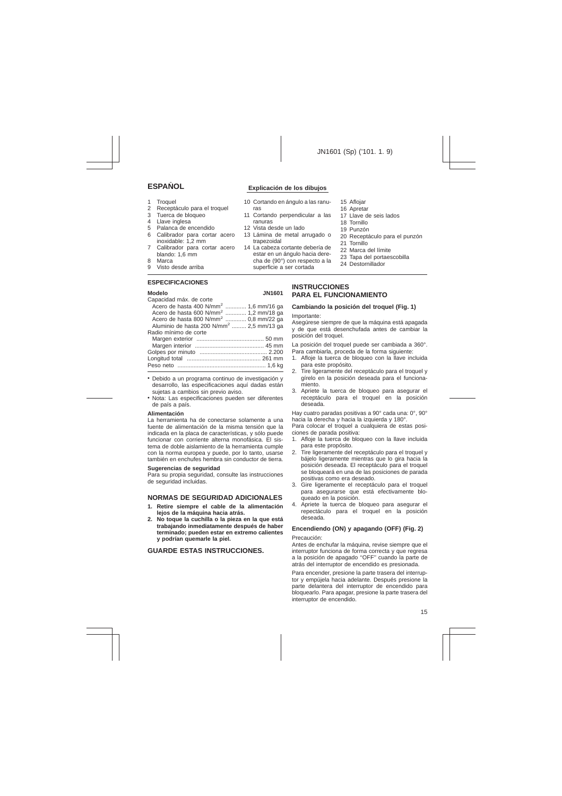- 1 Troquel<br>2 Recepta
- 2 Receptáculo para el troquel<br>3 Tuerca de bloqueo
- 3 Tuerca de bloqueo
- 4 Llave inglesa
- 5 Palanca de encendido
- 6 Calibrador para cortar acero inoxidable: 1,2 mm
- 7 Calibrador para cortar acero blando: 1,6 mm
- 8 Marca
- 9 Visto desde arriba

# **ESPECIFICACIONES**

#### **Modelo JN1601**

| Capacidad máx. de corte                              |  |
|------------------------------------------------------|--|
| Acero de hasta 400 N/mm <sup>2</sup> 1,6 mm/16 ga    |  |
| Acero de hasta 600 N/mm <sup>2</sup> 1,2 mm/18 ga    |  |
| Acero de hasta 800 N/mm <sup>2</sup> 0,8 mm/22 ga    |  |
| Aluminio de hasta 200 N/mm <sup>2</sup> 2,5 mm/13 ga |  |
| Radio mínimo de corte                                |  |
|                                                      |  |
|                                                      |  |
|                                                      |  |
|                                                      |  |
|                                                      |  |
|                                                      |  |

- Debido a un programa continuo de investigación y desarrollo, las especificaciones aquí dadas están sujetas a cambios sin previo aviso.
- Nota: Las especificaciones pueden ser diferentes de país a país.

#### **Alimentación**

La herramienta ha de conectarse solamente a una fuente de alimentación de la misma tensión que la indicada en la placa de características, y sólo puede funcionar con corriente alterna monofásica. El sistema de doble aislamiento de la herramienta cumple con la norma europea y puede, por lo tanto, usarse también en enchufes hembra sin conductor de tierra.

#### **Sugerencias de seguridad**

Para su propia seguridad, consulte las instrucciones de seguridad incluidas.

# **NORMAS DE SEGURIDAD ADICIONALES**

- **1. Retire siempre el cable de la alimentación lejos de la máquina hacia atrás.**
- **2. No toque la cuchilla o la pieza en la que está trabajando inmediatamente después de haber terminado; pueden estar en extremo calientes y podrían quemarle la piel.**

# **GUARDE ESTAS INSTRUCCIONES.**

# **ESPAN**x**OL Explicación de los dibujos**

- 10 Cortando en ángulo a las ranuras
- 11 Cortando perpendicular a las ranuras
- 12 Vista desde un lado
- 13 Lámina de metal arrugado o trapezoidal
- 14 La cabeza cortante debería de estar en un ángulo hacia derecha de (90°) con respecto a la superficie a ser cortada
- 15 Aflojar
- 16 Apretar
- 17 Llave de seis lados
- 18 Tornillo
- 19 Punzón
- 20 Receptáculo para el punzón
- 21 Tornillo
- 22 Marca del límite
- 23 Tapa del portaescobilla
- 24 Destornillador

# **INSTRUCCIONES PARA EL FUNCIONAMIENTO**

### **Cambiando la posición del troquel (Fig. 1)**

#### Importante:

Asegúrese siempre de que la máquina está apagada y de que está desenchufada antes de cambiar la posición del troquel.

La posición del troquel puede ser cambiada a 360°. Para cambiarla, proceda de la forma siguiente:

- 1. Afloje la tuerca de bloqueo con la llave incluida para este propósito.
- 2. Tire ligeramente del receptáculo para el troquel y gírelo en la posición deseada para el funcionamiento.
- 3. Apriete la tuerca de bloqueo para asegurar el receptáculo para el troquel en la posición deseada.

Hay cuatro paradas positivas a 90° cada una: 0°, 90° hacia la derecha y hacia la izquierda y 180°.

Para colocar el troquel a cualquiera de estas posiciones de parada positiva:

- 1. Afloje la tuerca de bloqueo con la llave incluida para este propósito.
- 2. Tire ligeramente del receptáculo para el troquel y bájelo ligeramente mientras que lo gira hacia la posición deseada. El receptáculo para el troquel se bloqueará en una de las posiciones de parada positivas como era deseado.
- 3. Gire ligeramente el receptáculo para el troquel para asegurarse que está efectivamente bloqueado en la posición.
- 4. Apriete la tuerca de bloqueo para asegurar el repectáculo para el troquel en la posición deseada.

# **Encendiendo (ON) y apagando (OFF) (Fig. 2)**

Precaución:

Antes de enchufar la máquina, revise siempre que el interruptor funciona de forma correcta y que regresa a la posición de apagado ''OFF'' cuando la parte de atrás del interruptor de encendido es presionada.

Para encender, presione la parte trasera del interruptor y empújela hacia adelante. Después presione la parte delantera del interruptor de encendido para bloquearlo. Para apagar, presione la parte trasera del interruptor de encendido.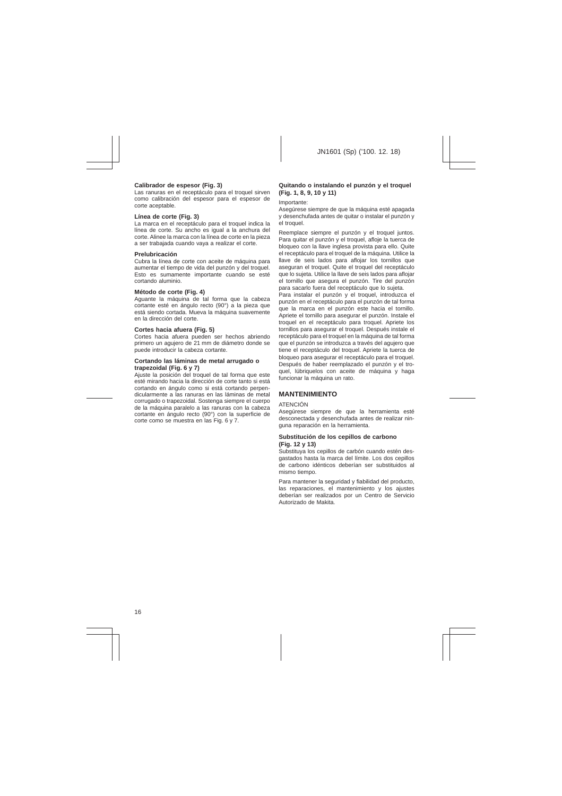# **Calibrador de espesor (Fig. 3)**

Las ranuras en el receptáculo para el troquel sirven como calibración del espesor para el espesor de corte aceptable.

#### **Línea de corte (Fig. 3)**

La marca en el receptáculo para el troquel indica la línea de corte. Su ancho es igual a la anchura del corte. Alinee la marca con la línea de corte en la pieza a ser trabajada cuando vaya a realizar el corte.

#### **Prelubricación**

Cubra la línea de corte con aceite de máquina para aumentar el tiempo de vida del punzón y del troquel. Esto es sumamente importante cuando se esté cortando aluminio.

#### **Método de corte (Fig. 4)**

Aguante la máquina de tal forma que la cabeza cortante esté en ángulo recto (90°) a la pieza que está siendo cortada. Mueva la máquina suavemente en la dirección del corte.

#### **Cortes hacia afuera (Fig. 5)**

Cortes hacia afuera pueden ser hechos abriendo primero un agujero de 21 mm de diámetro donde se puede introducir la cabeza cortante.

#### **Cortando las láminas de metal arrugado o trapezoidal (Fig. 6 y 7)**

Ajuste la posición del troquel de tal forma que este esté mirando hacia la dirección de corte tanto si está cortando en ángulo como si está cortando perpendicularmente a las ranuras en las láminas de metal corrugado o trapezoidal. Sostenga siempre el cuerpo de la máquina paralelo a las ranuras con la cabeza cortante en ángulo recto (90°) con la superficie de corte como se muestra en las Fig. 6 y 7.

# **Quitando o instalando el punzón y el troquel (Fig. 1, 8, 9, 10 y 11)**

Importante:

Asegúrese siempre de que la máquina esté apagada y desenchufada antes de quitar o instalar el punzón y el troquel.

Reemplace siempre el punzón y el troquel juntos. Para quitar el punzón y el troquel, afloje la tuerca de bloqueo con la llave inglesa provista para ello. Quite el receptáculo para el troquel de la máquina. Utilice la llave de seis lados para aflojar los tornillos que aseguran el troquel. Quite el troquel del receptáculo que lo sujeta. Utilice la llave de seis lados para aflojar el tornillo que asegura el punzón. Tire del punzón para sacarlo fuera del receptáculo que lo sujeta.

Para instalar el punzón y el troquel, introduzca el punzón en el receptáculo para el punzón de tal forma que la marca en el punzón este hacia el tornillo. Apriete el tornillo para asegurar el punzón. Instale el troquel en el receptáculo para troquel. Apriete los tornillos para asegurar el troquel. Después instale el receptáculo para el troquel en la máquina de tal forma que el punzón se introduzca a través del agujero que tiene el receptáculo del troquel. Apriete la tuerca de bloqueo para asegurar el receptáculo para el troquel. Después de haber reemplazado el punzón y el troquel, lúbriquelos con aceite de máquina y haga funcionar la máquina un rato.

# **MANTENIMIENTO**

#### ATENCIÓN

Asegúrese siempre de que la herramienta esté desconectada y desenchufada antes de realizar ninguna reparación en la herramienta.

#### **Substitución de los cepillos de carbono (Fig. 12 y 13)**

Substituya los cepillos de carbón cuando estén desgastados hasta la marca del límite. Los dos cepillos de carbono idénticos deberían ser substituidos al mismo tiempo.

Para mantener la seguridad y fiabilidad del producto, las reparaciones, el mantenimiento y los ajustes deberían ser realizados por un Centro de Servicio Autorizado de Makita.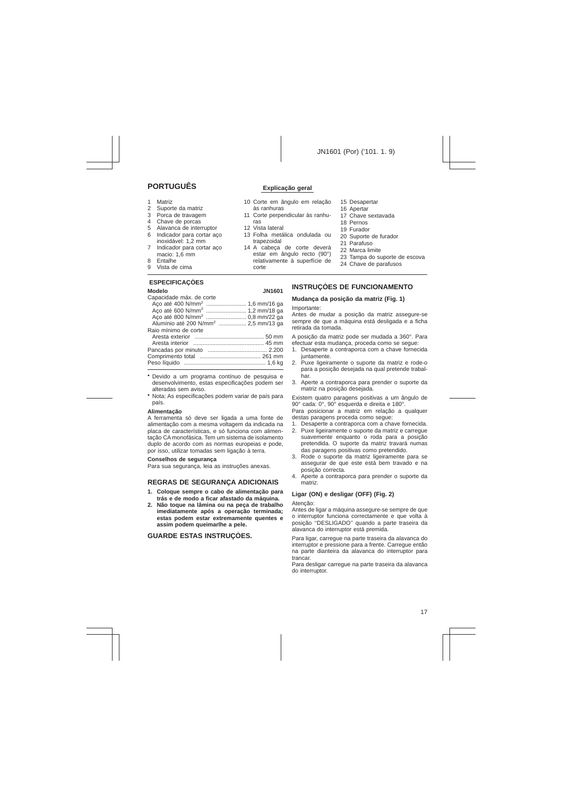# **PORTUGUÊS** Explicação geral

- 1 Matriz
- 2 Suporte da matriz
- 3 Porca de travagem
- 4 Chave de porcas
- 5 Alavanca de interruptor
- 6 Indicador para cortar aço inoxidável: 1,2 mm
- 7 Indicador para cortar aço macio: 1,6 mm
- 8 Entalhe
- 9 Vista de cima

# **ESPECIFICAÇÕES**

#### **Modelo JN1601**

| Capacidade máx. de corte                        |  |
|-------------------------------------------------|--|
|                                                 |  |
|                                                 |  |
|                                                 |  |
| Alumínio até 200 N/mm <sup>2</sup> 2,5 mm/13 ga |  |
| Raio mínimo de corte                            |  |
|                                                 |  |
|                                                 |  |
|                                                 |  |
|                                                 |  |
|                                                 |  |
|                                                 |  |

- Devido a um programa contínuo de pesquisa e desenvolvimento, estas especificações podem ser alteradas sem aviso.
- Nota: As especificações podem variar de país para país.

### **Alimentaça˜o**

A ferramenta só deve ser ligada a uma fonte de alimentação com a mesma voltagem da indicada na placa de características, e só funciona com alimentação CA monofásica. Tem um sistema de isolamento duplo de acordo com as normas europeias e pode, por isso, utilizar tomadas sem ligação à terra.

#### **Conselhos de segurança**

Para sua segurança, leia as instruções anexas.

# **REGRAS DE SEGURANÇA ADICIONAIS**

- **1. Coloque sempre o cabo de alimentação para trás e de modo a ficar afastado da máquina.**
- **2. Não toque na lâmina ou na peça de trabalho imediatamente após a operação terminada; estas podem estar extremamente quentes e assim podem queimarlhe a pele.**

# **GUARDE ESTAS INSTRUÇÕES.**

- 10 Corte em ângulo em relação às ranhuras
- 11 Corte perpendicular às ranhuras
- 12 Vista lateral
- 13 Folha metálica ondulada ou trapezoidal
- 14 A cabeça de corte deverá estar em ângulo recto (90°) relativamente à superfície de corte
- 15 Desapertar
- 16 Apertar
- 17 Chave sextavada
- 18 Pernos
- 19 Furador
- 20 Suporte de furador
- 21 Parafuso
- 22 Marca limite
- 23 Tampa do suporte de escova
- 24 Chave de parafusos

# **INSTRUÇÕES DE FUNCIONAMENTO**

# **Mudança da posição da matriz (Fig. 1)**

Importante:

Antes de mudar a posição da matriz assegure-se sempre de que a máquina está desligada e a ficha retirada da tomada.

A posição da matriz pode ser mudada a 360°. Para efectuar esta mudança, proceda como se segue:

- 1. Desaperte a contraporca com a chave fornecida juntamente.
- 2. Puxe ligeiramente o suporte da matriz e rode-o para a posição desejada na qual pretende trabalhar.
- 3. Aperte a contraporca para prender o suporte da matriz na posição desejada.

Existem quatro paragens positivas a um ângulo de 90° cada: 0°, 90° esquerda e direita e 180°.

Para posicionar a matriz em relação a qualquer destas paragens proceda como segue:

- 1. Desaperte a contraporca com a chave fornecida.
- 2. Puxe ligeiramente o suporte da matriz e carregue suavemente enquanto o roda para a posição pretendida. O suporte da matriz travará numas das paragens positivas como pretendido.
- 3. Rode o suporte da matriz ligeiramente para se assegurar de que este está bem travado e na posição correcta.
- 4. Aperte a contraporca para prender o suporte da matriz.

# **Ligar (ON) e desligar (OFF) (Fig. 2)**

#### Atenção:

Antes de ligar a máquina assegure-se sempre de que o interruptor funciona correctamente e que volta à posição ''DESLIGADO'' quando a parte traseira da alavanca do interruptor está premida.

Para ligar, carregue na parte traseira da alavanca do interruptor e pressione para a frente. Carregue então na parte dianteira da alavanca do interruptor para trancar.

Para desligar carregue na parte traseira da alavanca do interruptor.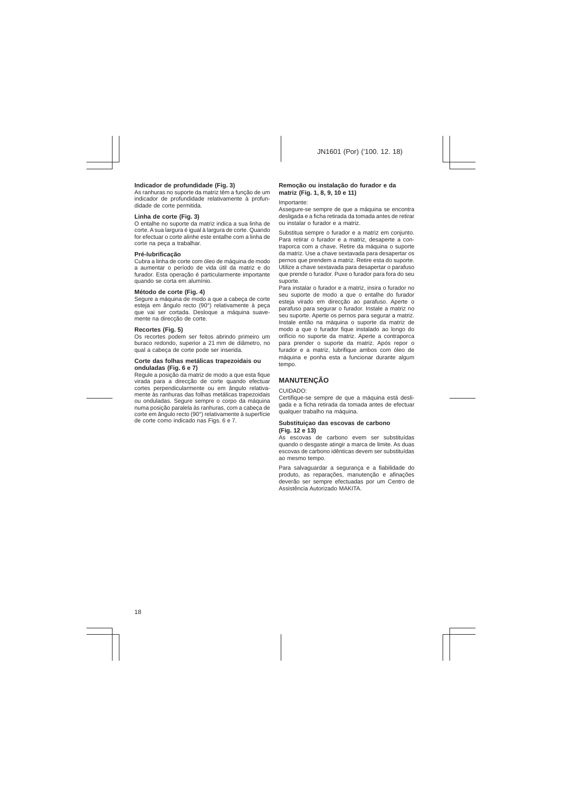## **Indicador de profundidade (Fig. 3)**

As ranhuras no suporte da matriz têm a função de um indicador de profundidade relativamente à profundidade de corte permitida.

### **Linha de corte (Fig. 3)**

O entalhe no suporte da matriz indica a sua linha de corte. A sua largura é igual à largura de corte. Quando for efectuar o corte alinhe este entalhe com a linha de corte na peça a trabalhar.

## **Pré-lubrificação**

Cubra a linha de corte com óleo de máquina de modo a aumentar o período de vida útil da matriz e do furador. Esta operação é particularmente importante quando se corta em alumínio.

### **Método de corte (Fig. 4)**

Segure a máquina de modo a que a cabeça de corte esteja em ângulo recto (90°) relativamente à peça que vai ser cortada. Desloque a máquina suavemente na direcção de corte.

## **Recortes (Fig. 5)**

Os recortes podem ser feitos abrindo primeiro um buraco redondo, superior a 21 mm de diâmetro, no qual a cabeça de corte pode ser inserida.

#### **Corte das folhas metálicas trapezoidais ou onduladas (Fig. 6 e 7)**

Regule a posição da matriz de modo a que esta fique virada para a direcção de corte quando efectuar cortes perpendicularmente ou em ângulo relativamente às ranhuras das folhas metálicas trapezoidais ou onduladas. Segure sempre o corpo da máquina numa posição paralela às ranhuras, com a cabeça de corte em ângulo recto (90°) relativamente à superfície de corte como indicado nas Figs. 6 e 7.

# **Remoção ou instalação do furador e da matriz (Fig. 1, 8, 9, 10 e 11)**

#### Importante:

Assegure-se sempre de que a máquina se encontra desligada e a ficha retirada da tomada antes de retirar ou instalar o furador e a matriz.

Substitua sempre o furador e a matriz em conjunto. Para retirar o furador e a matriz, desaperte a contraporca com a chave. Retire da máquina o suporte da matriz. Use a chave sextavada para desapertar os pernos que prendem a matriz. Retire esta do suporte. Utilize a chave sextavada para desapertar o parafuso que prende o furador. Puxe o furador para fora do seu suporte.

Para instalar o furador e a matriz, insira o furador no seu suporte de modo a que o entalhe do furador esteja virado em direcção ao parafuso. Aperte o parafuso para segurar o furador. Instale a matriz no seu suporte. Aperte os pernos para segurar a matriz. Instale então na máquina o suporte da matriz de modo a que o furador fique instalado ao longo do orifício no suporte da matriz. Aperte a contraporca para prender o suporte da matriz. Após repor o furador e a matriz, lubrifique ambos com óleo de máquina e ponha esta a funcionar durante algum tempo.

# **MANUTENÇÃO**

#### CUIDADO:

Certifique-se sempre de que a máquina está desligada e a ficha retirada da tomada antes de efectuar qualquer trabalho na máquina.

#### **Substituiçao das escovas de carbono (Fig. 12 e 13)**

As escovas de carbono evem ser substituídas quando o desgaste atingir a marca de limite. As duas escovas de carbono idênticas devem ser substituídas ao mesmo tempo.

Para salvaguardar a segurança e a fiabilidade do produto, as reparações, manutenção e afinações deverão ser sempre efectuadas por um Centro de Assistência Autorizado MAKITA.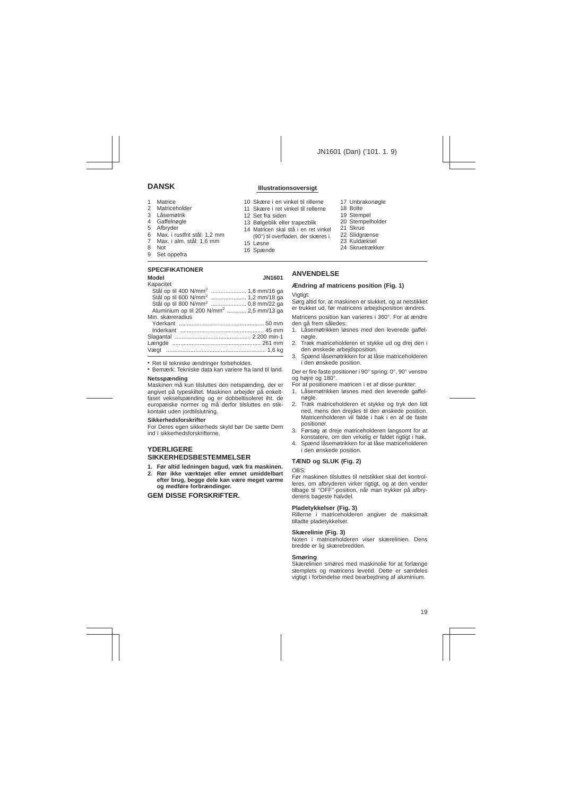# **DANSK Illustrationsoversigt**

- 1 Matrice<br>2 Matrice
- **Matriceholder**
- 3 Låsemøtrik
- 4 Gaffelnøgle
- 5 Afbryder
- 6 Max. i rustfrit stål: 1,2 mm<br>7 Max. i alm. stål: 1.6 mm
- 7 Max. i alm. stål: 1,6 mm
- 8 Not
- 9 Set oppefra

### **SPECIFIKATIONER**

| Kapacitet                                           |  |
|-----------------------------------------------------|--|
| Stål op til 400 N/mm <sup>2</sup> 1,6 mm/16 ga      |  |
| Stål op til 600 N/mm <sup>2</sup> 1,2 mm/18 ga      |  |
| Stål op til 800 N/mm <sup>2</sup> 0,8 mm/22 ga      |  |
| Aluminium op til 200 N/mm <sup>2</sup> 2,5 mm/13 ga |  |
| Min. skæreradius                                    |  |
|                                                     |  |
|                                                     |  |
|                                                     |  |
|                                                     |  |
|                                                     |  |
|                                                     |  |

• Ret til tekniske ændringer forbeholdes.

• Bemærk: Tekniske data kan variere fra land til land.

#### **Netsspænding**

Maskinen må kun tilsluttes den netspænding, der er angivet på typeskiltet. Maskinen arbejder på enkeltfaset vekselspænding og er dobbeltisoleret iht. de europæiske normer og må derfor tilsluttes en stikkontakt uden jordtilslutning.

#### **Sikkerhedsforskrifter**

For Deres egen sikkerheds skyld bør De sætte Dem ind i sikkerhedsforskrifterne.

# **YDERLIGERE SIKKERHEDSBESTEMMELSER**

- **1. Før altid ledningen bagud, væk fra maskinen.**
- **2. Rør ikke værktøjet eller emnet umiddelbart efter brug, begge dele kan være meget varme og medføre forbrændinger.**

# **GEM DISSE FORSKRIFTER.**

- 10 Skære i en vinkel til rillerne
- 11 Skære i ret vinkel til rellerne
- 12 Set fra siden
- 13 Bølgeblik eller trapezblik
- 14 Matricen skal stå i en ret vinkel (90°) til overfladen, der skæres i.
- 15 Løsne
- 16 Spænde
- 17 Unbrakonøgle
- 18 Bolte
- 19 Stempel
- 20 Stempelholder
- 21 Skrue
- 22 Slidgrænse
- 23 Kuldæksel
- 24 Skruetrækker

# **ANVENDELSE**

# **Ændring af matricens position (Fig. 1)**

#### Viatiat<sup>-</sup>

Sørg altid for, at maskinen er slukket, og at netstikket er trukket ud, før matricens arbejdsposition ændres.

Matricens position kan varieres i 360°. For at ændre den gå frem således:

- 1. Låsemøtrikken løsnes med den leverede gaffelnøgle.
- 2. Træk matriceholderen et stykke ud og drej den i den ønskede arbeidsposition.
- 3. Spænd låsemøtrikken for at låse matriceholderen i den ønskede position.

Der er fire faste positioner i 90° spring: 0°, 90° venstre og højre og 180°.

For at positionere matricen i et af disse punkter:

- 1. Låsemøtrikken løsnes med den leverede gaffelnøgle.
- 2. Træk matriceholderen et stykke og tryk den lidt ned, mens den drejdes til den ønskede position. Matricenholderen vil falde i hak i en af de faste positioner.
- 3. Førsøg at dreje matriceholderen langsomt for at konstatere, om den virkelig er faldet rigtigt i hak.
- 4. Spænd låsemøtrikken for at låse matriceholderen i den ønskede position.

# **TÆND og SLUK (Fig. 2)**

OBS:

Før maskinen tilsluttes til netstikket skal det kontrolleres, om afbryderen virker rigtigt, og at den vender tilbage til ''OFF''-position, når man trykker på afbryderens bageste halvdel.

#### **Pladetykkelser (Fig. 3)**

Rillerne i matriceholderen angiver de maksimalt tilladte pladetykkelser.

### **Skærelinie (Fig. 3)**

Noten i matriceholderen viser skærelinien. Dens bredde er lig skærebredden.

#### **Smøring**

Skærelinien smøres med maskinolie for at forlænge stemplets og matricens levetid. Dette er særdeles vigtigt i forbindelse med bearbejdning af aluminium.

# **Model JN1601**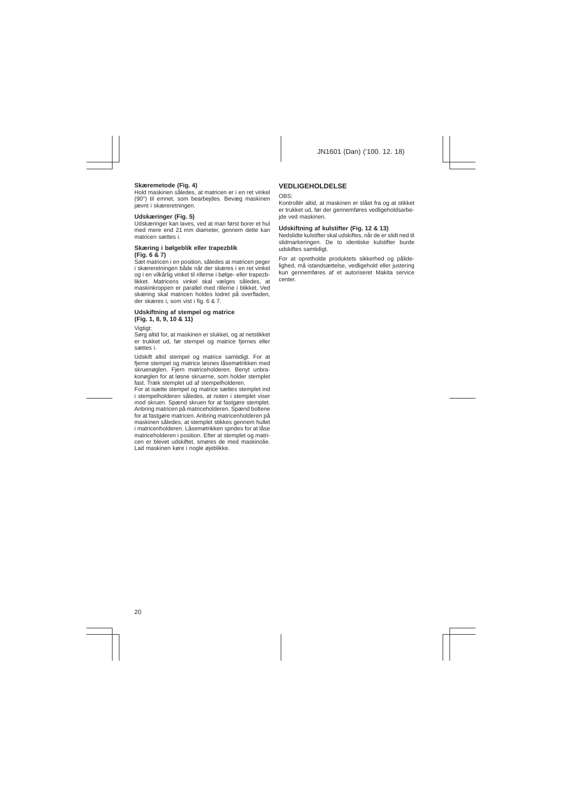## **Skæremetode (Fig. 4)**

Hold maskinen således, at matricen er i en ret vinkel (90°) til emnet, som bearbejdes. Bevæg maskinen jævnt i skæreretningen.

# **Udskæringer (Fig. 5)**

Udskæringer kan laves, ved at man først borer et hul med mere end 21 mm diameter, gennem dette kan matricen sættes i.

# **Skæring i bølgeblik eller trapezblik (Fig. 6 & 7)**

Sæt matricen i en position, således at matricen peger i skæreretningen både når der skæres i en ret vinkel og i en vilkårlig vinkel til rillerne i bølge- eller trapezblikket. Matricens vinkel skal vælges således, at maskinkroppen er parallel med rillerne i blikket. Ved skæring skal matricen holdes lodret på overfladen, der skæres i, som vist i fig. 6 & 7.

# **Udskiftning af stempel og matrice (Fig. 1, 8, 9, 10 & 11)**

Vigtigt:

Sørg altid for, at maskinen er slukket, og at netstikket er trukket ud, før stempel og matrice fjernes eller sættes i.

Udskift altid stempel og matrice samtidigt. For at fierne stempel og matrice løsnes låsemøtrikken med skruenøglen. Fjern matriceholderen. Benyt unbrakonøglen for at løsne skruerne, som holder stemplet fast. Træk stemplet ud af stempelholderen.

For at isætte stempel og matrice sættes stemplet ind i stempelholderen således, at noten i stemplet viser mod skruen. Spænd skruen for at fastgøre stemplet. Anbring matricen på matriceholderen. Spænd boltene for at fastgøre matricen. Anbring matricenholderen på maskinen således, at stemplet stikkes gennem hullet i matricenholderen. Låsemøtrikken spndes for at låse matriceholderen i position. Efter at stemplet og matricen er blevet udskiftet, smøres de med maskinolie. Lad maskinen køre i nogle øjeblikke.

# **VEDLIGEHOLDELSE**

 $ORS$ 

Kontrollér altid, at maskinen er slået fra og at stikket er trukket ud, før der gennemføres vedligeholdsarbeide ved maskinen.

# **Udskiftning af kulstifter (Fig. 12 & 13)**

Nedslidte kulstifter skal udskiftes, når de er slidt ned til slidmarkeringen. De to identiske kulstifter burde udskiftes samtidigt.

For at opretholde produktets sikkerhed og pålidelighed, må istandsættelse, vedligehold eller justering kun gennemføres af et autoriseret Makita service center.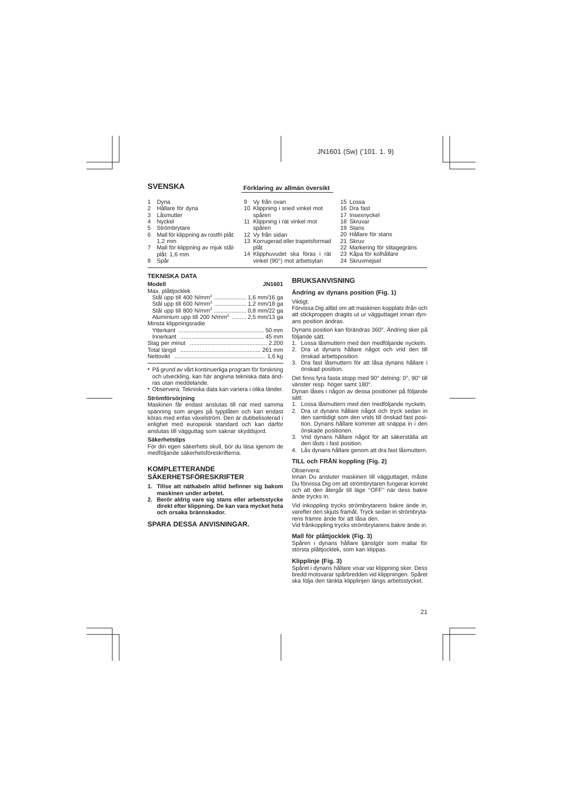- 1 Dyna<br>2 Hålla
- Hållare för dyna
- 3 Låsmutter
- 4 Nyckel
- 5 Strömbrytare
- 6 Mall för klippning av rostfri plåt: 1,2 mm
- 7 Mall för klippning av mjuk stålplåt: 1,6 mm
- 8 Spår

# **TEKNISKA DATA**

| Modell                                           | <b>JN1601</b> |
|--------------------------------------------------|---------------|
| Max. plåttjocklek                                |               |
| Stål upp till 400 N/mm <sup>2</sup> 1,6 mm/16 ga |               |
| Stål upp till 600 N/mm <sup>2</sup> 1,2 mm/18 ga |               |
| Stål upp till 800 N/mm <sup>2</sup> 0,8 mm/22 ga |               |
| Aluminium upp till 200 $N/mm^2$ 2.5 mm/13 ga     |               |
| Minsta klippningsradie                           |               |
|                                                  |               |
|                                                  |               |
|                                                  |               |
|                                                  |               |
|                                                  |               |
|                                                  |               |

- På grund av vårt kontinuerliga program för forskning och utveckling, kan här angivna tekniska data ändras utan meddelande.
- Observera: Tekniska data kan variera i olika länder.

#### **Strömförsörjning**

Maskinen får endast anslutas till nät med samma spänning som anges på typplåten och kan endast köras med enfas växelström. Den är dubbelisolerad i enlighet med europeisk standard och kan därför anslutas till vägguttag som saknar skyddsjord.

#### **Säkerhetstips**

För din egen säkerhets skull, bör du läsa igenom de medföljande säkerhetsföreskrifterna.

# **KOMPLETTERANDE SÄKERHETSFÖRESKRIFTER**

- **1. Tillse att nätkabeln alltid befinner sig bakom maskinen under arbetet.**
- **2. Berör aldrig vare sig stans eller arbetsstycke direkt efter klippning. De kan vara mycket heta och orsaka brännskador.**

# **SPARA DESSA ANVISNINGAR.**

# **SVENSKA Förklaring av allmän översikt**

- 9 Vy från ovan
- 10 Klippning i sned vinkel mot spåren
- 11 Klippning i rät vinkel mot
- spåren 12 Vy från sidan
- 13 Korrugerad eller trapetsformad plåt
- 14 Klipphuvudet ska föras i rät vinkel (90°) mot arbetsytan
- 15 Lossa
- 16 Dra fast
- 17 Insexnyckel
- 18 Skruvar
- 19 Stans
- 20 Hållare för stans
- 21 Skruv
- 22 Markering för slitagegräns
- 23 Kåpa för kolhållare
- 24 Skruvmejsel

# **BRUKSANVISNING**

# **Ändring av dynans position (Fig. 1)**

Viktigt:

Förvissa Dig alltid om att maskinen kopplats ifrån och att stickproppen dragits ut ur vägguttaget innan dynans position ändras.

Dynans position kan förändras 360°. Ändring sker på följande sätt.

- 1. Lossa låsmuttern med den medföljande nyckeln.
- 2. Dra ut dynans hållare något och vrid den till önskad arbetsposition.
- 3. Dra fast låsmuttern för att låsa dynans hållare i önskad position.

Det finns fyra fasta stopp med 90° delning: 0°, 90° till vänster resp. höger samt 180°.

Dynan låses i någon av dessa positioner på följande sätt:

- 1. Lossa låsmuttern med den medföljande nyckeln.
- 2. Dra ut dynans hållare något och tryck sedan in den samtidigt som den vrids till önskad fast position. Dynans hållare kommer att snäppa in i den önskade positionen.
- 3. Vrid dynans hållare något för att säkerställa att den låsts i fast position.
- 4. Lås dynans hållare genom att dra fast låsmuttern.

# **TILL och FRÅN koppling (Fig. 2)**

Observera:

Innan Du ansluter maskinen till vägguttaget, måste Du förvissa Dig om att strömbrytaren fungerar korrekt och att den återgår till läge ''OFF'' när dess bakre ände trycks in.

Vid inkoppling trycks strömbrytarens bakre ände in, varefter den skjuts framåt. Tryck sedan in strömbrytarens främre ände för att låsa den.

Vid frånkoppling trycks strömbrytarens bakre ände in.

### **Mall för plåttjocklek (Fig. 3)**

Spåren i dynans hållare tjänstgör som mallar för största plåttjocklek, som kan klippas.

### **Klipplinje (Fig. 3)**

Spåret i dynans hållare visar var klippning sker. Dess bredd motsvarar spårbredden vid klippningen. Spåret ska följa den tänkta klipplinjen längs arbetsstycket.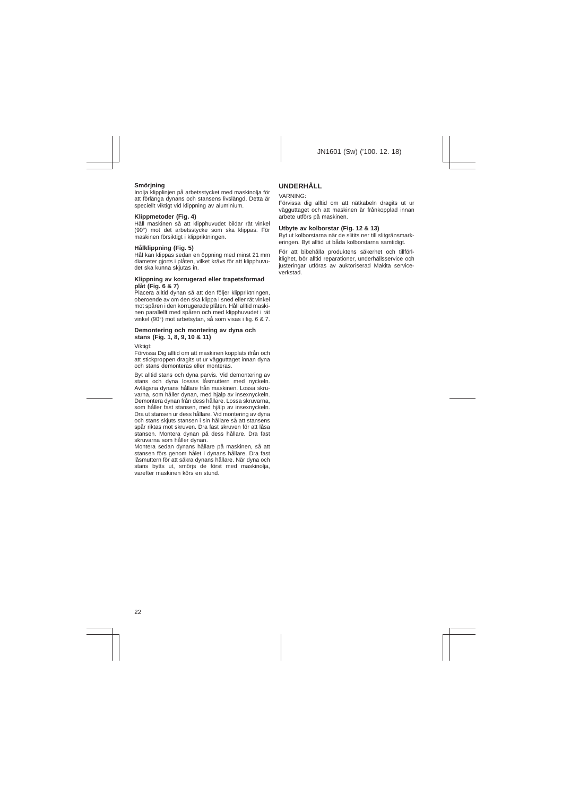# **Smörjning**

Inolja klipplinjen på arbetsstycket med maskinolja för att förlänga dynans och stansens livslängd. Detta är speciellt viktigt vid klippning av aluminium.

# **Klippmetoder (Fig. 4)**

Håll maskinen så att klipphuvudet bildar rät vinkel (90°) mot det arbetsstycke som ska klippas. För maskinen försiktigt i klippriktningen.

# **Hålklippning (Fig. 5)**

Hål kan klippas sedan en öppning med minst 21 mm diameter gjorts i plåten, vilket krävs för att klipphuvudet ska kunna skjutas in.

# **Klippning av korrugerad eller trapetsformad plåt (Fig. 6 & 7)**

Placera alltid dynan så att den följer klippriktningen, oberoende av om den ska klippa i sned eller rät vinkel mot spåren i den korrugerade plåten. Håll alltid maskinen parallellt med spåren och med klipphuvudet i rät vinkel (90°) mot arbetsytan, så som visas i fig. 6 & 7.

# **Demontering och montering av dyna och stans (Fig. 1, 8, 9, 10 & 11)**

Viktiat:

Förvissa Dig alltid om att maskinen kopplats ifrån och att stickproppen dragits ut ur vägguttaget innan dyna och stans demonteras eller monteras.

Byt alltid stans och dyna parvis. Vid demontering av stans och dyna lossas låsmuttern med nyckeln. Avlägsna dynans hållare från maskinen. Lossa skruvarna, som håller dynan, med hjälp av insexnyckeln. Demontera dynan från dess hållare. Lossa skruvarna, som håller fast stansen, med hjälp av insexnyckeln. Dra ut stansen ur dess hållare. Vid montering av dyna och stans skjuts stansen i sin hållare så att stansens spår riktas mot skruven. Dra fast skruven för att låsa stansen. Montera dynan på dess hållare. Dra fast skruvarna som håller dynan.

Montera sedan dynans hållare på maskinen, så att stansen förs genom hålet i dynans hållare. Dra fast låsmuttern för att säkra dynans hållare. När dyna och stans bytts ut, smöris de först med maskinolia. varefter maskinen körs en stund.

# **UNDERHÅLL**

# VARNING:

Förvissa dig alltid om att nätkabeln dragits ut ur vägguttaget och att maskinen är frånkopplad innan arbete utförs på maskinen.

# **Utbyte av kolborstar (Fig. 12 & 13)**

Byt ut kolborstarna när de slitits ner till slitgränsmarkeringen. Byt alltid ut båda kolborstarna samtidigt.

För att bibehålla produktens säkerhet och tillförlitlighet, bör alltid reparationer, underhållsservice och justeringar utföras av auktoriserad Makita serviceverkstad.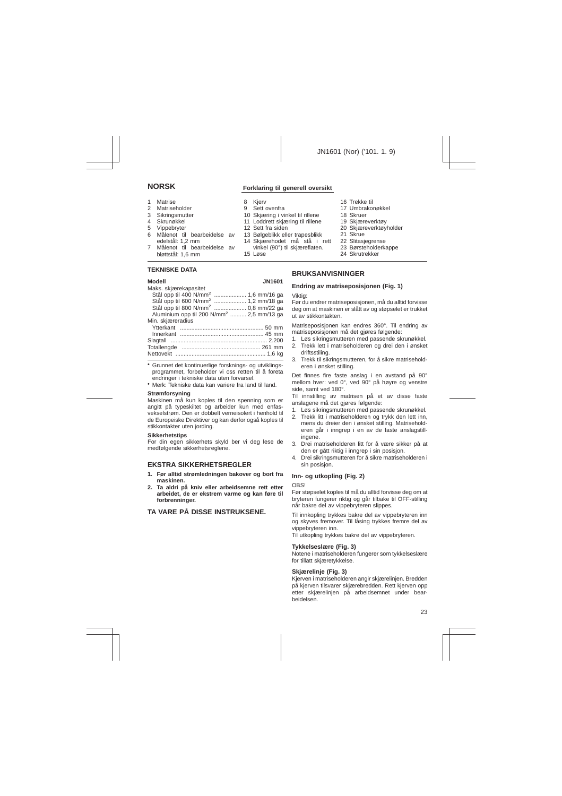# **NORSK Forklaring til generell oversikt**

1 Matrise 2 Matriseholder 3 Sikringsmutter 4 Skrunøkkel 5 Vippebryter 6 Målenot til bearbeidelse av edelstål: 1,2 mm 7 Målenot til bearbeidelse av bløttstål: 1,6 mm 8 Kjerv 9 Sett ovenfra 10 Skjæring i vinkel til rillene 11 Loddrett skjæring til rillene 12 Sett fra siden 13 Bølgeblikk eller trapesblikk 14 Skjærehodet må stå i rett vinkel (90°) til skjæreflaten. 15 Løse 16 Trekke til 18 Skruer 19 Skjæreverktøy 21 Skrue 22 Slitasjegrense 24 Skrutrekker

### **TEKNISKE DATA**

# menen<br>Maks. skjesselses eskel

#### **Modell JN1601**

| iviaks. Skiælekabasitet                              |  |
|------------------------------------------------------|--|
| Stål opp til 400 N/mm <sup>2</sup> 1,6 mm/16 ga      |  |
| Stål opp til 600 N/mm <sup>2</sup> 1,2 mm/18 ga      |  |
| Stål opp til 800 N/mm <sup>2</sup> 0,8 mm/22 ga      |  |
| Aluminium opp til 200 N/mm <sup>2</sup> 2,5 mm/13 ga |  |
| Min. skjæreradius                                    |  |
|                                                      |  |
|                                                      |  |
|                                                      |  |
|                                                      |  |
|                                                      |  |
|                                                      |  |

• Grunnet det kontinuerlige forsknings- og utviklingsprogrammet, forbeholder vi oss retten til å foreta endringer i tekniske data uten forvarsel.

• Merk: Tekniske data kan variere fra land til land.

#### **Strømforsyning**

Maskinen må kun koples til den spenning som er angitt på typeskiltet og arbeider kun med enfasvekselstrøm. Den er dobbelt verneisolert i henhold til de Europeiske Direktiver og kan derfor også koples til stikkontakter uten jording.

#### **Sikkerhetstips**

For din egen sikkerhets skyld ber vi deg lese de medfølgende sikkerhetsreglene.

# **EKSTRA SIKKERHETSREGLER**

- **1. Før alltid strømledningen bakover og bort fra maskinen.**
- **2. Ta aldri på kniv eller arbeidsemne rett etter arbeidet, de er ekstrem varme og kan føre til forbrenninger.**

# **TA VARE PÅ DISSE INSTRUKSENE.**

- 17 Umbrakonøkkel
- 20 Skjæreverktøyholder
- 23 Børsteholderkappe

# **BRUKSANVISNINGER**

### **Endring av matriseposisjonen (Fig. 1)**

Viktig:

Før du endrer matriseposisjonen, må du alltid forvisse deg om at maskinen er slått av og støpselet er trukket ut av stikkontakten.

Matriseposisjonen kan endres 360°. Til endring av matriseposisjonen må det gjøres følgende:

- 1. Løs sikringsmutteren med passende skrunøkkel.
- 2. Trekk lett i matriseholderen og drei den i ønsket driftsstiling.
- 3. Trekk til sikringsmutteren, for å sikre matriseholderen i ønsket stilling.

Det finnes fire faste anslag i en avstand på 90° mellom hver: ved 0°, ved 90° på høyre og venstre side, samt ved 180°.

Til innstilling av matrisen på et av disse faste anslagene må det gjøres følgende:

- 1. Løs sikringsmutteren med passende skrunøkkel.
- 2. Trekk litt i matriseholderen og trykk den lett inn, mens du dreier den i ønsket stilling. Matriseholderen går i inngrep i en av de faste anslagstillingene.
- 3. Drei matriseholderen litt for å være sikker på at den er gått riktig i inngrep i sin posisjon.
- 4. Drei sikringsmutteren for å sikre matriseholderen i sin posisjon.

# **Inn- og utkopling (Fig. 2)**

#### OBS!

Før støpselet koples til må du alltid forvisse deg om at bryteren fungerer riktig og går tilbake til OFF-stilling når bakre del av vippebryteren slippes.

Til innkopling trykkes bakre del av vippebryteren inn og skyves fremover. Til låsing trykkes fremre del av vippebryteren inn.

Til utkopling trykkes bakre del av vippebryteren.

### **Tykkelseslære (Fig. 3)**

Notene i matriseholderen fungerer som tykkelseslære for tillatt skjæretykkelse.

### **Skjærelinje (Fig. 3)**

Kjerven i matriseholderen angir skjærelinjen. Bredden på kjerven tilsvarer skjærebredden. Rett kjerven opp etter skjærelinjen på arbeidsemnet under bearbeidelsen.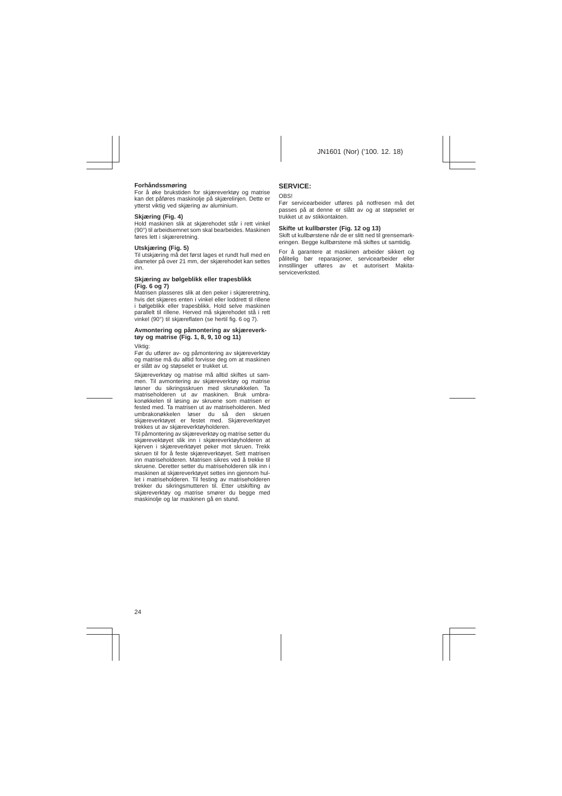# **Forhåndssmøring**

For å øke brukstiden for skjæreverktøy og matrise kan det påføres maskinolie på skiærelinjen. Dette er ytterst viktig ved skjæring av aluminium.

# **Skjæring (Fig. 4)**

Hold maskinen slik at skjærehodet står i rett vinkel (90°) til arbeidsemnet som skal bearbeides. Maskinen føres lett i skjæreretning.

# **Utskjæring (Fig. 5)**

Til utskjæring må det først lages et rundt hull med en diameter på over 21 mm, der skjærehodet kan settes inn.

#### **Skjæring av bølgeblikk eller trapesblikk (Fig. 6 og 7)**

Matrisen plasseres slik at den peker i skjæreretning, hvis det skjæres enten i vinkel eller loddrett til rillene i bølgeblikk eller trapesblikk. Hold selve maskinen parallelt til rillene. Herved må skjærehodet stå i rett vinkel (90°) til skjæreflaten (se hertil fig. 6 og 7).

### **Avmontering og påmontering av skjæreverktøy og matrise (Fig. 1, 8, 9, 10 og 11)**

Viktig:

Før du utfører av- og påmontering av skjæreverktøy og matrise må du alltid forvisse deg om at maskinen er slått av og støpselet er trukket ut.

Skjæreverktøy og matrise må alltid skiftes ut sammen. Til avmontering av skjæreverktøy og matrise løsner du sikringsskruen med skrunøkkelen. Ta matriseholderen ut av maskinen. Bruk umbrakonøkkelen til løsing av skruene som matrisen er fested med. Ta matrisen ut av matriseholderen. Med umbrakonøkkelen løser du så den skruen skjæreverktøyet er festet med. Skjæreverktøyet trekkes ut av skjæreverktøyholderen.

Til påmontering av skjæreverktøy og matrise setter du skjærevektøyet slik inn i skjæreverktøyholderen at kjerven i skjæreverktøyet peker mot skruen. Trekk skruen til for å feste skjæreverktøyet. Sett matrisen inn matriseholderen. Matrisen sikres ved å trekke til skruene. Deretter setter du matriseholderen slik inn i maskinen at skjæreverktøyet settes inn gjennom hullet i matriseholderen. Til festing av matriseholderen trekker du sikringsmutteren til. Etter utskifting av skjæreverktøy og matrise smører du begge med maskinolje og lar maskinen gå en stund.

# **SERVICE:**

#### **OBS!**

Før servicearbeider utføres på notfresen må det passes på at denne er slått av og at støpselet er trukket ut av stikkontakten.

# **Skifte ut kullbørster (Fig. 12 og 13)**

Skift ut kullbørstene når de er slitt ned til grensemarkeringen. Begge kullbørstene må skiftes ut samtidig.

For å garantere at maskinen arbeider sikkert og pålitelig bør reparasjoner, servicearbeider eller innstillinger utføres av et autorisert Makitaserviceverksted.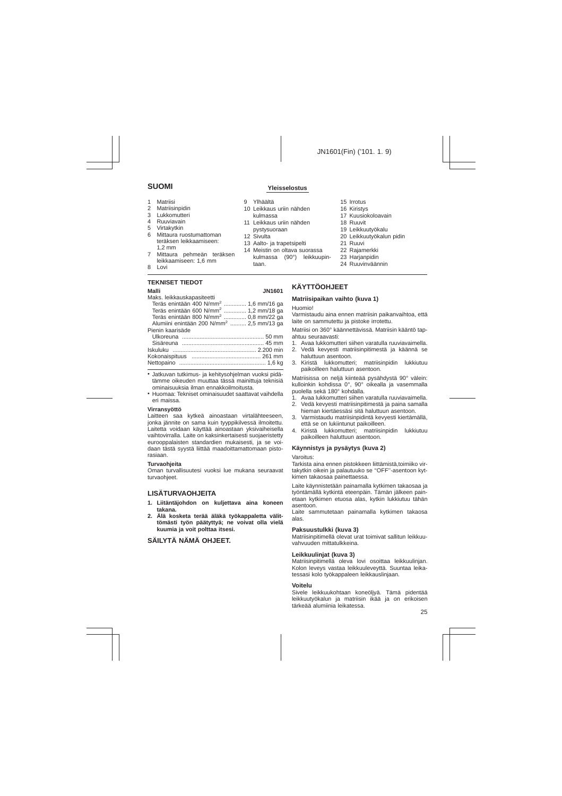- 1 Matriisi
- 2 Matriisinpidin
- 3 Lukkomutteri
- 4 Ruuviavain
- 5 Virtakytkin
- 6 Mittaura ruostumattoman teräksen leikkaamiseen: 1,2 mm
- 7 Mittaura pehmeän teräksen leikkaamiseen: 1,6 mm
- 8 Lovi

# **TEKNISET TIEDOT**

| Malli                                                | <b>JN1601</b> |
|------------------------------------------------------|---------------|
| Maks. leikkauskapasiteetti                           |               |
| Teräs enintään 400 N/mm <sup>2</sup> 1,6 mm/16 ga    |               |
| Teräs enintään 600 N/mm <sup>2</sup> 1,2 mm/18 ga    |               |
| Teräs enintään 800 N/mm <sup>2</sup> 0,8 mm/22 ga    |               |
| Alumiini enintään 200 N/mm <sup>2</sup> 2,5 mm/13 ga |               |
| Pienin kaarisäde                                     |               |
|                                                      |               |
|                                                      |               |
|                                                      |               |
|                                                      |               |
|                                                      |               |
|                                                      |               |

• Jatkuvan tutkimus- ja kehitysohjelman vuoksi pidätämme oikeuden muuttaa tässä mainittuja teknisiä ominaisuuksia ilman ennakkoilmoitusta.

• Huomaa: Tekniset ominaisuudet saattavat vaihdella eri maissa.

### **Virransyöttö**

Laitteen saa kytkeä ainoastaan virtalähteeseen, jonka jännite on sama kuin tyyppikilvessä ilmoitettu. Laitetta voidaan käyttää ainoastaan yksivaiheisella vaihtovirralla. Laite on kaksinkertaisesti suojaeristetty eurooppalaisten standardien mukaisesti, ja se voidaan tästä syystä liittää maadoittamattomaan pistorasiaan.

### **Turvaohjeita**

Oman turvallisuutesi vuoksi lue mukana seuraavat turvaohieet.

# **LISÄTURVAOHJEITA**

- **1. Liitäntäjohdon on kuljettava aina koneen takana.**
- **2. Älä kosketa terää äläkä työkappaletta välittömästi työn päätyttyä; ne voivat olla vielä kuumia ja voit polttaa itsesi.**

# **SÄILYTÄ NÄMÄ OHJEET.**

# **SUOMI Yleisselostus**

- 9 Ylhäältä
- 10 Leikkaus uriin nähden kulmassa
- 11 Leikkaus uriin nähden pystysuoraan
- 12 Sivulta
- 13 Aalto- ja trapetsipelti
- 14 Meistin on oltava suorassa kulmassa (90°) leikkuupintaan.
- 15 Irrotus
- 16 Kiristys
- 17 Kuusiokoloavain
- 18 Ruuvit
- 19 Leikkuutyökalu
- 20 Leikkuutyökalun pidin
- 21 Ruuvi
- 22 Rajamerkki
- 23 Harianpidin
- 24 Ruuvinväännin

# **KÄYTTÖOHJEET**

# **Matriisipaikan vaihto (kuva 1)**

#### Huomio!

Varmistaudu aina ennen matriisin paikanvaihtoa, että laite on sammutettu ja pistoke irrotettu.

Matriisi on 360° käännettävissä. Matriisin kääntö tapahtuu seuraavasti:

- 1. Avaa lukkomutteri siihen varatulla ruuviavaimella.
- 2. Vedä kevyesti matriisinpitimestä ja käännä se haluttuun asentoon.
- 3. Kiristä lukkomutteri; matriisinpidin lukkiutuu paikoilleen haluttuun asentoon.

Matriisissa on neljä kiinteää pysähdystä 90° välein: kulloinkin kohdissa 0°, 90° oikealla ja vasemmalla puolella sekä 180° kohdalla.

- 1. Avaa lukkomutteri siihen varatulla ruuviavaimella.
- 2. Vedä kevyesti matriisinpitimestä ja paina samalla hieman kiertäessäsi sitä haluttuun asentoon.
- 3. Varmistaudu matriisinpidintä kevyesti kiertämällä, että se on lukiintunut paikoilleen.
- 4. Kiristä lukkomutteri; matriisinpidin lukkiutuu paikoilleen haluttuun asentoon.

# **Käynnistys ja pysäytys (kuva 2)**

#### Varoitus:

Tarkista aina ennen pistokkeen liittämistä,toimiiko virtakytkin oikein ja palautuuko se ''OFF''-asentoon kytkimen takaosaa painettaessa.

Laite käynnistetään painamalla kytkimen takaosaa ja työntämällä kytkintä eteenpäin. Tämän jälkeen painetaan kytkimen etuosa alas, kytkin lukkiutuu tähän asentoon.

Laite sammutetaan painamalla kytkimen takaosa alas.

## **Paksuustulkki (kuva 3)**

Matriisinpitimellä olevat urat toimivat sallitun leikkuuvahvuuden mittatulkkeina.

### **Leikkuulinjat (kuva 3)**

Matriisinpitimellä oleva lovi osoittaa leikkuulinjan. Kolon leveys vastaa leikkuuleveyttä. Suuntaa leikatessasi kolo työkappaleen leikkauslinjaan.

### **Voitelu**

Sivele leikkuukohtaan koneöljyä. Tämä pidentää leikkuutyökalun ja matriisin ikää ja on erikoisen tärkeää alumiinia leikatessa.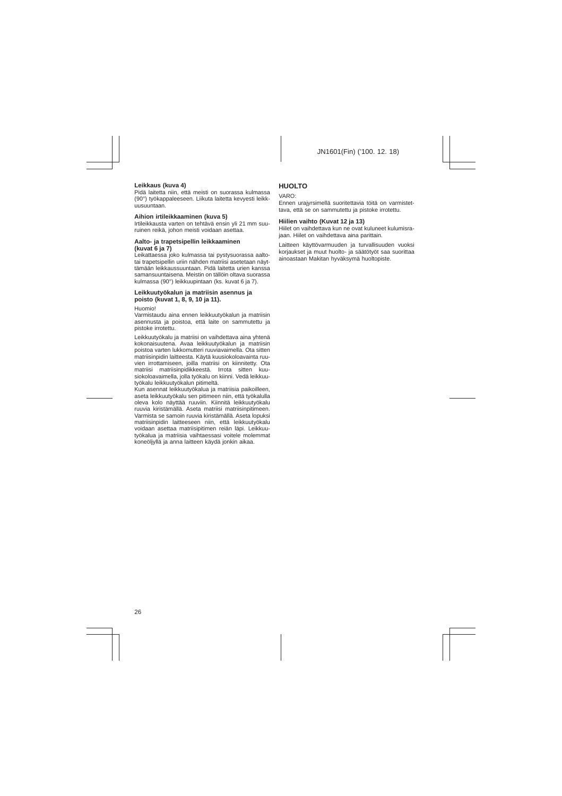# **Leikkaus (kuva 4)**

Pidä laitetta niin, että meisti on suorassa kulmassa (90°) työkappaleeseen. Liikuta laitetta kevyesti leikkuusuuntaan.

## **Aihion irtileikkaaminen (kuva 5)**

Irtileikkausta varten on tehtävä ensin yli 21 mm suuruinen reikä, johon meisti voidaan asettaa.

#### **Aalto- ja trapetsipellin leikkaaminen (kuvat 6 ja 7)**

Leikattaessa joko kulmassa tai pystysuorassa aaltotai trapetsipellin uriin nähden matriisi asetetaan näyttämään leikkaussuuntaan. Pidä laitetta urien kanssa samansuuntaisena. Meistin on tällöin oltava suorassa kulmassa (90°) leikkuupintaan (ks. kuvat 6 ja 7).

## **Leikkuutyökalun ja matriisin asennus ja poisto (kuvat 1, 8, 9, 10 ja 11).**

Huomio!

Varmistaudu aina ennen leikkuutyökalun ja matriisin asennusta ja poistoa, että laite on sammutettu ja pistoke irrotettu.

Leikkuutyökalu ja matriisi on vaihdettava aina yhtenä kokonaisuutena. Avaa leikkuutyökalun ja matriisin poistoa varten lukkomutteri ruuviavaimella. Ota sitten matriisinpidin laitteesta. Käytä kuusiokoloavainta ruuvien irrottamiseen, joilla matriisi on kiinnitetty. Ota matriisi matriisinpidikkeestä. Irrota sitten kuusiokoloavaimella, jolla työkalu on kiinni. Vedä leikkuutyökalu leikkuutyökalun pitimeltä.

Kun asennat leikkuutyökalua ja matriisia paikoilleen, aseta leikkuutyökalu sen pitimeen niin, että työkalulla oleva kolo näyttää ruuviin. Kiinnitä leikkuutyökalu ruuvia kiristämällä. Aseta matriisi matriisinpitimeen. Varmista se samoin ruuvia kiristämällä. Aseta lopuksi matriisinpidin laitteeseen niin, että leikkuutyökalu voidaan asettaa matriisipitimen reiän läpi. Leikkuutyökalua ja matriisia vaihtaessasi voitele molemmat koneöljyllä ja anna laitteen käydä jonkin aikaa.

# **HUOLTO**

#### VARO:

Ennen urajyrsimellä suoritettavia töitä on varmistettava, että se on sammutettu ja pistoke irrotettu.

# **Hiilien vaihto (Kuvat 12 ja 13)**

Hiilet on vaihdettava kun ne ovat kuluneet kulumisrajaan. Hiilet on vaihdettava aina parittain.

Laitteen käyttövarmuuden ja turvallisuuden vuoksi korjaukset ja muut huolto- ja säätötyöt saa suorittaa ainoastaan Makitan hyväksymä huoltopiste.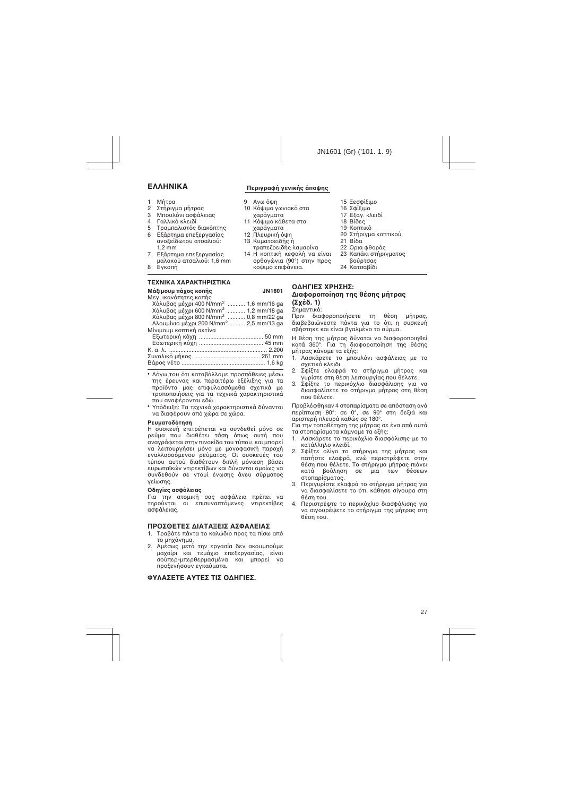- 1 MnTog
- 2 Στήριγμα μήτρας
- 3 Μπουλόνι ασφάλειας
- 4 Γαλλικό κλειδί
- 5 Τραμπαλιστός διακόπτης

#### 6 Εξάρτημα επεξεργασίας ανοξείδωτου ατσαλιού: 1,2 mm

- 7 Εξάρτημα επεξεργασίας  $\mu$ αλακού ατσαλιού: 1,6 mm
- 8 Evkoπή

# *Δ***ΕΣ** ΤΕΧΝΙΚΑ ΧΑΡΑΚΤΗΡΙΣΤΙΚΑ

| Μάξιμουμ πάχος κοπής                               | <b>JN1601</b> |
|----------------------------------------------------|---------------|
| Μεν. ικανότητες κοπής                              |               |
| Χάλυβας μέχρι 400 N/mm <sup>2</sup> 1,6 mm/16 ga   |               |
| Χάλυβας μέχρι 600 N/mm <sup>2</sup> 1,2 mm/18 ga   |               |
| Χάλυβας μέχρι 800 N/mm <sup>2</sup> 0.8 mm/22 ga   |               |
| Αλουμίνιο μέχρι 200 N/mm <sup>2</sup> 2,5 mm/13 ga |               |
| Μίνιμουμ κοπτική ακτίνα                            |               |
|                                                    |               |
|                                                    |               |
|                                                    |               |
|                                                    |               |
|                                                    |               |

- Λόνω του ότι καταβάλλομε προσπάθειες μέσω της έρευνας και περαιτέρω εξέλιξης για τα προϊόντα μας επιφυλασσόμεθα σχετικά με τροποποιήσεις για τα τεχνικά χαρακτηριστικά που αναφέρονται εδώ.
- Υπόδειξη: Τα τεχνικά χαρακτηριστικά δύνανται να διαφέρουν από χώρα σε χώρα.

### **Ρευματοδότηση**

Η συσκευή επιτρέπεται να συνδεθεί μόνο σε οεύμα που διαθέτει τάση όπως αυτή που αναγράφεται στην πινακίδα του τύπου, και μπορεί να λειτουργήσει μόνο με μονοφασική παροχή εναλλασσόμενου ρεύματος. Οι συσκευές του τύπου αυτού διαθέτουν διπλή μόνωση βάσει ευρωπαϊκών ντιρεκτίβων και δύνανται ομοίως να συνδεθούν σε ντουί ένωσης άνευ σύρματος γείωσης.

## Οδηγίες ασφάλειας

Για την ατομική σας ασφάλεια πρέπει να τηρούνται οι επισυναπτόμενες ντιρεκτίβες ασφάλειας.

# **ΠΡΟΣΘΕΤΕΣ ΔΙΑΤΑΞΕΙΣ ΑΣΦΑΛΕΙΑΣ**

- 1. Τραβάτε πάντα το καλώδιο προς τα πίσω από το μηχάνημα.
- 2. Αμέσως μετά την εργασία δεν ακουμπούμε μαχαίρι και τεμάχιο επεξεργασίας είναι σούπερ-μπερθερμασμένα και μπορεί να προξενήσουν εγκαύματα.

# **©ΥΛΑΣΕΤΕ ΑΥΤΕΣ ΤΙΣ ΩΛΗΓΙΕΣ.**

# **ΓελλΗΝΙΚΑ** Περινραφή νενικής άποψης

τραπεζοειδής λαμαρίνα 14 Η κοπτική κεφαλή να είναι ορθογώνια (90°) στην προς κοψιμο επιφάνεια.

 $9$  Av $\omega$  olln

χαράγματα 12 Πλευρική όψη 13 Κυματοειδής ή

- 10 Κόψιμο γωνιακό στα γαράγματα 11 Κόψιμο κάθετα στα
- $16$  Σ $\Phi$ iειμο
	- 17 Εξαγ. κλειδί

 $15$   $\equiv$  $60$  $\frac{65}{100}$ 

- $18$  Biδες
- 19 Κοπτικό
- 20 Στήρινμα κοπτικού
- $21$  Βίδα
- 22. Qoja ¢θoράς
- 23 Καπάκι στήριγματος  $B$ ούρτσας
- 24 Κατσαβίδι

# ΟΔΗΓΙΕΣ ΧΡΗΣΗΣ:  $Δ$ **iαφοροποίηση της θέσης μήτρας (™¯¤‰. 1)**

# Σημαντικό:<br>Πριν δια

διαφοροποιήσετε τη θέση μήτρας. διαβεβαιώνεστε πάντα νια το ότι η συσκευή σβήστηκε και είναι βναλμένο το σύρμα.

Η θέση της μήτρας δύναται να διαφοροποιηθεί κατά 360°. Για τη διαφοροποίηση της θέσης μήτρας κάνομε τα εξής:

- 1. Λασκάρετε το μπουλόνι ασφάλειας με το σχετικό κλειδι.
- 2. ΣΦίξτε ελαφρά το στήρινμα μήτρας και <u>νυρίστε στη θέση λειτουργίας που θέλετε.</u>
- 3. Σφίξτε το περικόχλιο διασφάλισης για να διασφαλίσετε το στήριγμα μήτρας στη θέση που θέλετε.

Προβλέφθηκαν 4 στοπαρίσματα σε απόσταση ανά περίπτωση 90°: σε 0°, σε 90° στη δεξιά και αριστερή πλευρά καθώς σε 180°.

Για την τοποθέτηση της μήτρας σε ένα από αυτά τα στοπαρίσματα κάμνομε τα εξής:

- 1. Λασκάρετε το περικόχλιο διασφάλισης με το κατάλληλο κλειδί.
- 2. Σφίξτε ολίγο το στήριγμα της μήτρας και πατήστε ελαφρά, ενώ περιστρέφετε στην θέση που θέλετε. Το στήριγμα μήτρας πιάνει<br>κατά βούληση σε μια των θέσεων βούληση σε μια στοπαρίσματος.
- 3. Περινυρίστε ελαφρά το στήρινμα μήτρας για να διασφαλίσετε το ότι, κάθησε σίγουρα στη θέση του.
- 4. Περιστρέψτε το περικόχλιο διασφάλισης για να σινουρέψετε το στήρινμα της μήτρας στη θέση του.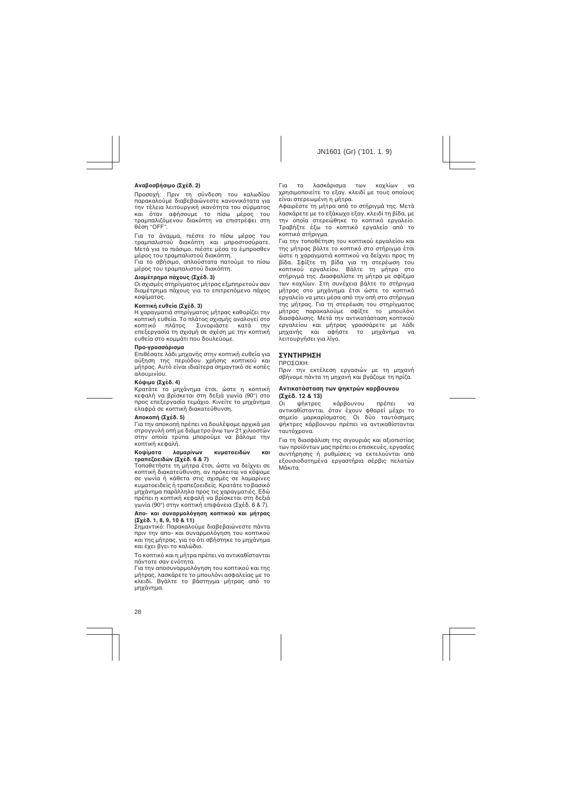# $Ava\beta oo\beta\eta\sigma\mu$ ο (Σχέδ. 2)

Προσοχή: Πριν τη σύνδεση του καλωδίου παρακαλούμε διαβεβαιώνεστε κανονικότατα νια την τέλεια λειτουργική ικανότητα του σύρματος και όταν αφήσουμε το πίσω μέρος του τραμπαλιζόμενου διακόπτη να επιστρέφει στη θέση "OFF".

Για το άναμμα, πιέστε το πίσω μέρος του τραμπαλιστού διακόπτη και μπροστοσύρατε. Μετά για το πιάσιμο, πιέστε μέσα το έμπροσθεν μέρος του τραμπαλιστού διακόπτη.

Για το σβήσιμο, απλούστατα πατούμε το πίσω μέρος του τραμπαλιστού διακόπτη.

### **Διαμέτρημα πάγους (Σγέδ. 3)**

Οι σχισμές στηρίγματος μήτρας εξμπηρετούν σαν διαμέτρημα πάχους για το επιτρεπόμενο πάχος κοψίματος.

## **Κοπτική ευθεία (Σγέδ. 3)**

Η χαραγματιά στηρίγματος μήτρας καθορίζει την ÎÔÙÈ΋ ¢ı›·. ∆Ô Ï¿ÙÔ˜ Û¯ÈÛÌ‹˜ ·Ó·ÏÔÁ› ÛÙÔ κοπτικό πλάτος. Συνοριάστε κατά την επεξεργασία τη σχισμή σε σχέση με την κοπτική ευθεία στο κομμάτι που δουλεύομε.

# **Προ-γρασσάρισμα**

Επιθέσατε λάδι μηχανής στην κοπτική ευθεία για αύξηση της περιόδου χρήσης κοπτικού και uήτρας. Αυτό είναι ιδιαίτερα σημαντικό σε κοπές  $\alpha\lambda$ oʻuunviou.

### **Kόψιμο (Σχέδ. 4)**

Κρατάτε το μηχάνημα έτσι, ώστε η κοπτική κεφαλή να βρίσκεται στη δεξιά νωνία (90°) στο προς επεξεργασία τεμάχιο. Κινείτε το μηχάνημα ελαφρά σε κοπτική διακατεύθυνση.

### **Αποκοπή (Σχέδ. 5)**

Για την αποκοπή πρέπει να δουλέψομε αρχικά μια στρογγυλή οπή με διάμετρο άνω των 21 χιλιοστών στην οποία τρύπα μπορούμε να βάλομε την κοπτική κεφαλή.

#### Κοψίματα λαμαρίνων κυματοειδών και τραπεζοειδών (Σχέδ. 6 & 7)

Τοποθετήστε τη μήτρα έτσι, ώστε να δείχνει σε κοπτική διακατεύθυνση, αν πρόκειται να κόψομε σε γωνία ή κάθετα στις σχισμές σε λαμαρίνες κυματοειδείς ή τραπεζοειδείς. Κρατάτε το βασικό μηχάνημα παράλληλα προς τις χαραγματιές. Εδώ πρέπει η κοπτική κεφαλή να βρίσκεται στη δεξιά γωνία (90°) στην κοπτική επιφάνεια (Σχέδ. 6 & 7).

#### **Απο- και συναρμολόγηση κοπτικού και μήτρας (™¯¤‰. 1, 8, 9, 10 & 11)**

Σημαντικό: Παρακαλούμε διαβεβαιώνεστε πάντα πριν την απο- και συναρμολόνηση του κοπτικού και της μήτρας, για το ότι σβήστηκε το μηχάνημα και έχει βγει το καλώδιο.

Το κοπτικό και η μήτρα πρέπει να αντικαθίστανται πάντοτε σαν ενότητα.

Για την αποσυναρμολόγηση του κοπτικού και της  $\hat{u}$  λασκάρετε το μπουλόνι ασφαλείας με το κλειδί. Βγάλτε το βάστηγμα μήτρας από το μηχάνημα.

Για το λασκάρισμα των κοχλίων να χρησιμοποιείτε το εξαν, κλειδί με τους οποίους είναι στερεωμένη η μήτρα.

Αφαιρέστε τη μήτρα από το στήριγμά της. Μετά λασκάρετε με το εξάκωχο εξαν, κλειδί τη βίδα, με την οποία στερεώθηκε το κοπτικό ερναλείο. Τραβήξτε έξω το κοπτικό ερναλείο από το κοπτικό στήρινμα.

Για την τοποθέτηση του κοπτικού εργαλείου και της μήτρας βάλτε το κοπτικό στο στήριγμα έτσι ώστε η χαραγματιά κοπτικού να δείχνει προς τη βίδα. Σφίξτε τη βίδα για τη στερέωση του κοπτικού ερναλείου. Βάλτε τη μήτρα στο στήρινμά της, Διασφαλίστε τη μήτρα με σφίξιμο των κοχλίων. Στη συνέχεια βάλτε το στήρινμα μήτρας στο μηχάνημα έτσι ώστε το κοπτικό ερναλείο να μπει μέσα από την οπή στο στήρινμα της μήτρας. Για τη στερέωση του στηρίγματος μήτρας παρακαλούμε σφίξτε το μπουλόνι διασφάλισης. Μετά την αντικατάσταση κοπτικού εργαλείου και μήτρας γρασσάρετε με λάδι<br>μηχανής και αφήστε το μηχάνημα να unxἀvnua va λειτουργήσει για λίνο.

# **ΣΥΝΤΗΡΗΣΗ**

### ΠΡΟΣΟΧΗ:

Πριν την εκτέλεση εργασιών με τη μηχανή σβήνομε πάντα τη μηχανή και βνάζομε τη πρίζα.

#### **Αντικατάσταση των ψηκτρών καρβουνου**  $(Σyεδ. 12 & 13)$

Οι ψήκτρες κάρβουνου πρέπει να αντικαθίστανται, όταν έχουν φθαρεί μέχρι το σημείο μαρκαρίσματος. Οι δύο ταυτόσημες ψήκτρες κάρβουνου πρέπει να αντικαθίστανται ταυτόχρονα.

Για τη διασφάλιση της σιγουριάς και αξιοπιστίας των προϊόντων μας πρέπει οι επισκευές, εργασίες συντήρησης ή ρυθμίσεις να εκτελούνται από εξουσιοδοτημένα εργαστήρια σέρβις πελατών Μἀκιτα.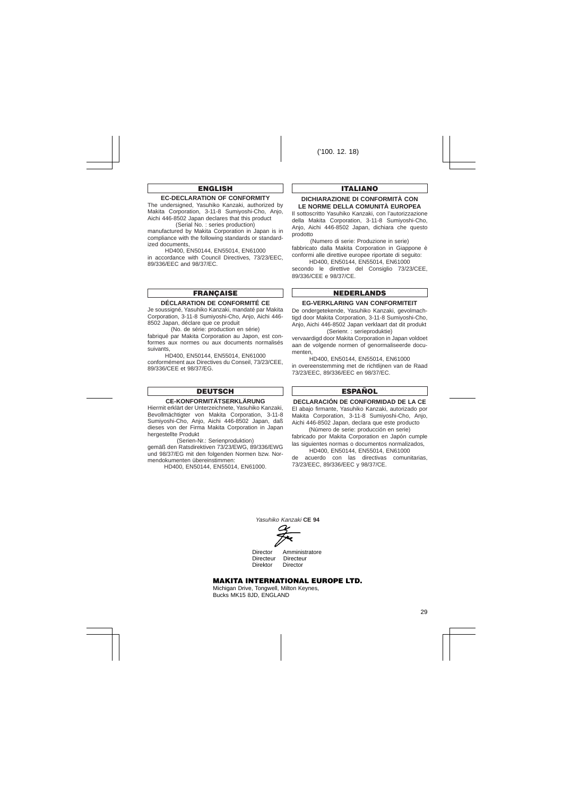# **ENGLISH**

# **EC-DECLARATION OF CONFORMITY**

The undersigned, Yasuhiko Kanzaki, authorized by Makita Corporation, 3-11-8 Sumiyoshi-Cho, Anjo, Aichi 446-8502 Japan declares that this product (Serial No. : series production)

manufactured by Makita Corporation in Japan is in compliance with the following standards or standardized documents,

HD400, EN50144, EN55014, EN61000 in accordance with Council Directives, 73/23/FEC. 89/336/EEC and 98/37/EC.

# **FRANÇAISE**

#### **DÉCLARATION DE CONFORMITÉ CE**

Je soussigné, Yasuhiko Kanzaki, mandaté par Makita Corporation, 3-11-8 Sumiyoshi-Cho, Anjo, Aichi 446- 8502 Japan, déclare que ce produit

(No. de série: production en série)

fabriqué par Makita Corporation au Japon, est conformes aux normes ou aux documents normalisés suivants,

HD400, EN50144, EN55014, EN61000 conformément aux Directives du Conseil, 73/23/CEE, 89/336/CEE et 98/37/EG.

# **DEUTSCH**

# **CE-KONFORMITÄTSERKLÄRUNG**

Hiermit erklärt der Unterzeichnete, Yasuhiko Kanzaki, Bevollmächtigter von Makita Corporation, 3-11-8 Sumiyoshi-Cho, Anjo, Aichi 446-8502 Japan, daß dieses von der Firma Makita Corporation in Japan hergestellte Produkt

(Serien-Nr.: Serienproduktion) gemäß den Ratsdirektiven 73/23/EWG, 89/336/EWG und 98/37/EG mit den folgenden Normen bzw. Normendokumenten übereinstimmen:

HD400, EN50144, EN55014, EN61000.

# **ITALIANO**

### **DICHIARAZIONE DI CONFORMITÀ CON LE NORME DELLA COMUNITÀ EUROPEA**

Il sottoscritto Yasuhiko Kanzaki, con l'autorizzazione della Makita Corporation, 3-11-8 Sumiyoshi-Cho, Anjo, Aichi 446-8502 Japan, dichiara che questo prodotto

(Numero di serie: Produzione in serie) fabbricato dalla Makita Corporation in Giappone è conformi alle direttive europee riportate di seguito:

HD400, EN50144, EN55014, EN61000 secondo le direttive del Consiglio 73/23/CEE. 89/336/CEE e 98/37/CE.

# **NEDERLANDS**

#### **EG-VERKLARING VAN CONFORMITEIT**

De ondergetekende, Yasuhiko Kanzaki, gevolmachtigd door Makita Corporation, 3-11-8 Sumiyoshi-Cho, Anjo, Aichi 446-8502 Japan verklaart dat dit produkt (Serienr. : serieproduktie)

vervaardigd door Makita Corporation in Japan voldoet aan de volgende normen of genormaliseerde documenten,

HD400, EN50144, EN55014, EN61000 in overeenstemming met de richtlijnen van de Raad 73/23/EEC, 89/336/EEC en 98/37/EC.

# **ESPAÑOL**

# **DECLARACIÓN DE CONFORMIDAD DE LA CE**

El abajo firmante, Yasuhiko Kanzaki, autorizado por Makita Corporation, 3-11-8 Sumiyoshi-Cho, Anjo, Aichi 446-8502 Japan, declara que este producto

(Número de serie: producción en serie) fabricado por Makita Corporation en Japón cumple las siguientes normas o documentos normalizados,

HD400, EN50144, EN55014, EN61000 de acuerdo con las directivas comunitarias, 73/23/EEC, 89/336/EEC y 98/37/CE.

Yasuhiko Kanzaki **CE 94**

Director Amministratore Directeur Directeur<br>Direktor Director Director

# **MAKITA INTERNATIONAL EUROPE LTD.**

Michigan Drive, Tongwell, Milton Keynes, Bucks MK15 8JD, ENGLAND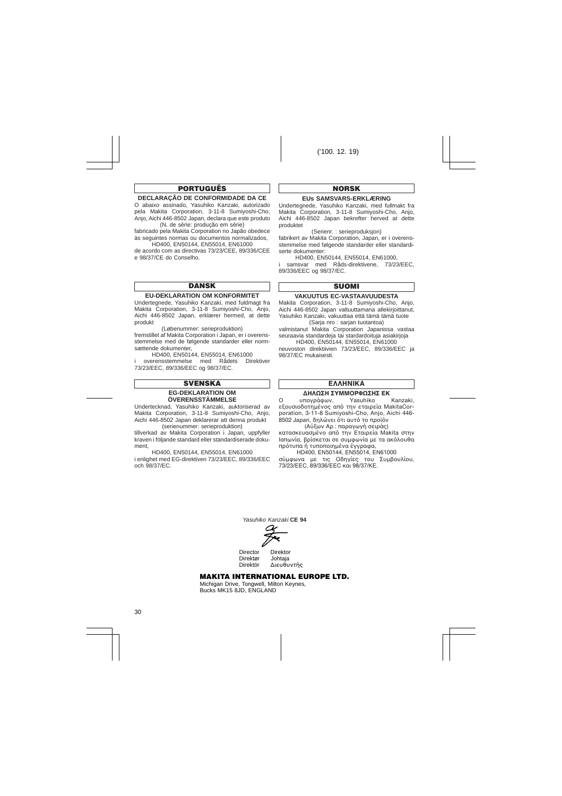# **PORTUGUÊS**

# **DECLARAÇÃO DE CONFORMIDADE DA CE**

O abaixo assinado, Yasuhiko Kanzaki, autorizado pela Makita Corporation, 3-11-8 Sumiyoshi-Cho, Anjo, Aichi 446-8502 Japan, declara que este produto (N. de série: produção em série)

fabricado pela Makita Corporation no Japão obedece às seguintes normas ou documentos normalizados,

HD400, EN50144, EN55014, EN61000 de acordo com as directivas 73/23/CEE, 89/336/CEE e 98/37/CE do Conselho.

# **DANSK**

#### **EU-DEKLARATION OM KONFORMITET**

Undertegnede, Yasuhiko Kanzaki, med fuldmagt fra Makita Corporation, 3-11-8 Sumiyoshi-Cho, Anjo, Aichi 446-8502 Japan, erklærer hermed, at dette produkt

(Løbenummer: serieproduktion)

fremstillet af Makita Corporation i Japan, er i overensstemmelse med de følgende standarder eller normsættende dokumenter,

HD400, EN50144, EN55014, EN61000<br>erensstemmelse med Rådets Direktiver overensstemmelse med 73/23/EEC, 89/336/EEC og 98/37/EC.

# **SVENSKA**

#### **EG-DEKLARATION OM ÖVERENSSTÄMMELSE**

Undertecknad, Yasuhiko Kanzaki, auktoriserad av Makita Corporation, 3-11-8 Sumiyoshi-Cho, Anjo, Aichi 446-8502 Japan deklarerar att denna produkt (serienummer: serieproduktion)

tillverkad av Makita Corporation i Japan, uppfyller kraven i följande standard eller standardiserade dokument,

HD400, EN50144, EN55014, EN61000 i enlighet med EG-direktiven 73/23/EEC, 89/336/EEC och 98/37/EC.

#### **NORSK**

#### **EUs SAMSVARS-ERKLÆRING**

Undertegnede, Yasuhiko Kanzaki, med fullmakt fra Makita Corporation, 3-11-8 Sumiyoshi-Cho, Anjo, Aichi 446-8502 Japan bekrefter herved at dette produktet

(Serienr. : serieproduksjon)

fabrikert av Makita Corporation, Japan, er i overensstemmelse med følgende standarder eller standardiserte dokumenter:

HD400, EN50144, EN55014, EN61000,

i samsvar med Råds-direktivene, 73/23/FFC, 89/336/EEC og 98/37/EC.

# **SUOMI**

#### **VAKUUTUS EC-VASTAAVUUDESTA**

Makita Corporation, 3-11-8 Sumiyoshi-Cho, Anjo, Aichi 446-8502 Japan valtuuttamana allekirjoittanut, Yasuhiko Kanzaki, vakuuttaa että tämä tämä tuote (Sarja nro : sarjan tuotantoa)

valmistanut Makita Corporation Japanissa vastaa seuraavia standardeja tai stardardoituja asiakirjoja

HD400, EN50144, EN55014, EN61000 neuvoston direktiivien 73/23/EEC, 89/336/EEC ja 98/37/EC mukaisesti.

# **FAAHNIKA**

# **¢∏§ø™∏ ™Àªª√ƒºø™∏™ ∂∫**

O υπονράφων, Yasuhiko Kanzaki, εξουσιοδοτημένος από την εταιρεία MakitaCorporation, 3-11-8 Sumiyoshi-Cho, Anjo, Aichi 446- 8502 Japan, δηλώνει ότι αυτό το προϊόν

(Αὐξων Αρ.: παρανωνή σειράς) κατασκευασμένο από την Εταιρεία Makita στην Ιαπωνία, βρίσκεται σε συμφωνία με τα ακόλουθα πρότυπα ή τυποποιημένα έννραφα.

HD400, EN50144, EN55014, EN61000 σύμφωνα με τις Οδηγίες του Συμβουλίου, 73/23/EEC, 89/336/EEC και 98/37/KE.

Yasuhiko Kanzaki **CE 94**



Director Direktor Direktør Johtaja<br>Direktör Ausuflu Διευθυντής

# **MAKITA INTERNATIONAL EUROPE LTD.**

Michigan Drive, Tongwell, Milton Keynes, Bucks MK15 8JD, ENGLAND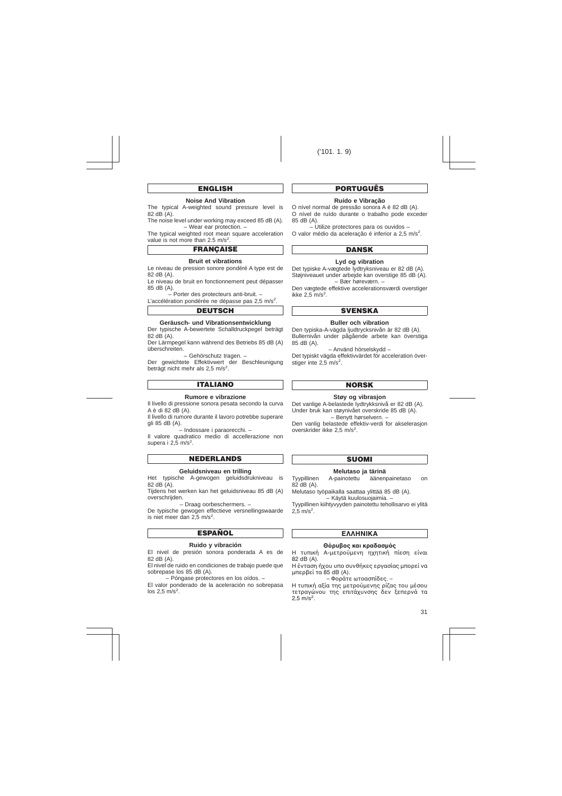# **ENGLISH**

#### **Noise And Vibration**

The typical A-weighted sound pressure level is 82 dB (A).

The noise level under working may exceed 85 dB (A). – Wear ear protection. –

The typical weighted root mean square acceleration value is not more than  $2.5 \text{ m/s}^2$ .

# **FRANÇAISE**

#### **Bruit et vibrations**

Le niveau de pression sonore pondéré A type est de 82 dB (A).

Le niveau de bruit en fonctionnement peut dépasser 85 dB (A).

– Porter des protecteurs anti-bruit. –

L'accélération pondérée ne dépasse pas 2,5 m/s<sup>2</sup>.

## **DEUTSCH**

#### **Geräusch- und Vibrationsentwicklung**

Der typische A-bewertete Schalldruckpegel beträgt 82 dB (A).

Der Lärmpegel kann während des Betriebs 85 dB (A) überschreiten.

– Gehörschutz tragen. –

Der gewichtete Effektivwert der Beschleunigung beträgt nicht mehr als 2,5 m/s<sup>2</sup>.

# **ITALIANO**

#### **Rumore e vibrazione**

Il livello di pressione sonora pesata secondo la curva A è di 82 dB (A).

Il livello di rumore durante il lavoro potrebbe superare gli 85 dB (A).

– Indossare i paraorecchi. –

Il valore quadratico medio di accellerazione non supera i 2,5 m/s<sup>2</sup>.

## **NEDERLANDS**

#### **Geluidsniveau en trilling**

Het typische A-gewogen geluidsdrukniveau is 82 dB (A).

Tijdens het werken kan het geluidsniveau 85 dB (A) overschrijden.

– Draag oorbeschermers. –

De typische gewogen effectieve versnellingswaarde is niet meer dan 2,5 m/s<sup>2</sup>.

# **ESPAÑOL**

#### **Ruido y vibración**

El nivel de presión sonora ponderada A es de 82 dB (A).

El nivel de ruido en condiciones de trabajo puede que sobrepase los 85 dB (A).

– Póngase protectores en los oídos. –

El valor ponderado de la aceleración no sobrepasa los  $2,5 \text{ m/s}^2$ .

# **PORTUGUÊS**

#### **Ruído e Vibração**

O nível normal de pressão sonora A é 82 dB (A). O nível de ruído durante o trabalho pode exceder 85 dB (A).

– Utilize protectores para os ouvidos – O valor médio da aceleração é inferior a 2,5 m/s<sup>2</sup>.

# **DANSK**

### **Lyd og vibration**

Det typiske A-vægtede lydtryksniveau er 82 dB (A). Støjniveauet under arbeide kan overstige 85 dB (A). – Bær høreværn. –

Den vægtede effektive accelerationsværdi overstiger ikke  $2,5$  m/s<sup>2</sup>.

# **SVENSKA**

#### **Buller och vibration**

Den typiska-A-vägda ljudtrycksnivån är 82 dB (A). Bullernivån under pågående arbete kan överstiga 85 dB (A).

– Använd hörselskydd –

Det typiskt vägda effektivvärdet för acceleration överstiger inte 2,5 m/s<sup>2</sup>.

# **NORSK**

#### **Støy og vibrasjon**

Det vanlige A-belastede lydtrykksnivå er 82 dB (A). Under bruk kan støynivået overskride 85 dB (A).

– Benytt hørselvern. –

Den vanlig belastede effektiv-verdi for akselerasjon overskrider ikke 2,5 m/s<sup>2</sup>.

#### **SUOMI**

# **Melutaso ja tärinä**

Tyypillinen A-painotettu äänenpainetaso on 82 dB (A).

Melutaso työpaikalla saattaa ylittää 85 dB (A). – Käytä kuulosuojaimia. –

Tyypillinen kiihtyvyyden painotettu tehollisarvo ei ylitä  $2,5 \text{ m/s}^2$ .

# **FAAHNIKA**

#### $\Theta$ όρυβος και κραδασμός

Η τυπική Α-μετρούμενη ηχητική πίεση είναι 82 dB (A).

Η ένταση ήχου υπο συνθήκες εργασίας μπορεί να μπερβεί τα 85 dB (A).

 $-$  Φοράτε ωτοασπίδες. –

Η τυπική αξία της μετρούμενης ρίζας του μέσου τετραγώνου της επιτάχυνσης δεν ξεπερνά τα  $2,5 \text{ m/s}^2$ .